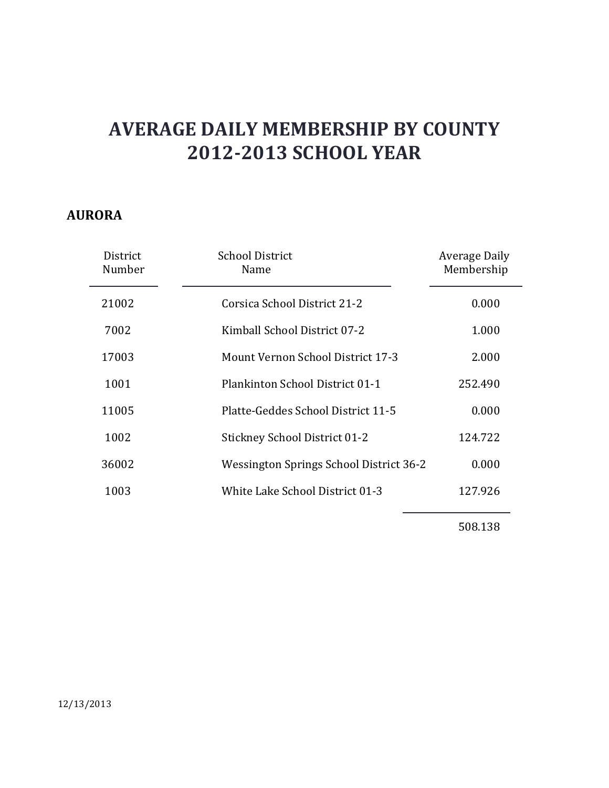#### **AURORA**

| District<br>Number | <b>School District</b><br>Name           | Average Daily<br>Membership |
|--------------------|------------------------------------------|-----------------------------|
| 21002              | Corsica School District 21-2             | 0.000                       |
| 7002               | Kimball School District 07-2             | 1.000                       |
| 17003              | <b>Mount Vernon School District 17-3</b> | 2.000                       |
| 1001               | Plankinton School District 01-1          | 252.490                     |
| 11005              | Platte-Geddes School District 11-5       | 0.000                       |
| 1002               | <b>Stickney School District 01-2</b>     | 124.722                     |
| 36002              | Wessington Springs School District 36-2  | 0.000                       |
| 1003               | White Lake School District 01-3          | 127.926                     |
|                    |                                          |                             |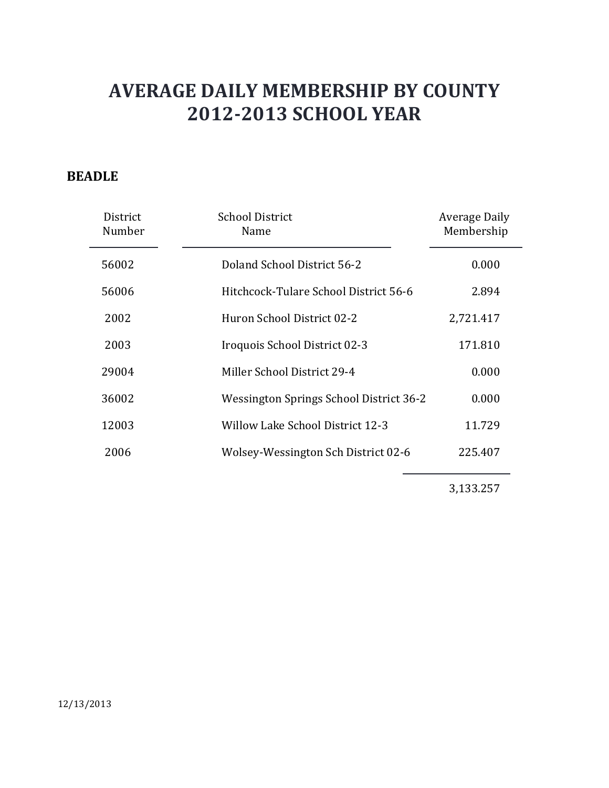### **BEADLE**

| District<br>Number | <b>School District</b><br>Name          | Average Daily<br>Membership |
|--------------------|-----------------------------------------|-----------------------------|
| 56002              | Doland School District 56-2             | 0.000                       |
| 56006              | Hitchcock-Tulare School District 56-6   | 2.894                       |
| 2002               | Huron School District 02-2              | 2,721.417                   |
| 2003               | Iroquois School District 02-3           | 171.810                     |
| 29004              | Miller School District 29-4             | 0.000                       |
| 36002              | Wessington Springs School District 36-2 | 0.000                       |
| 12003              | Willow Lake School District 12-3        | 11.729                      |
| 2006               | Wolsey-Wessington Sch District 02-6     | 225.407                     |

3,133.257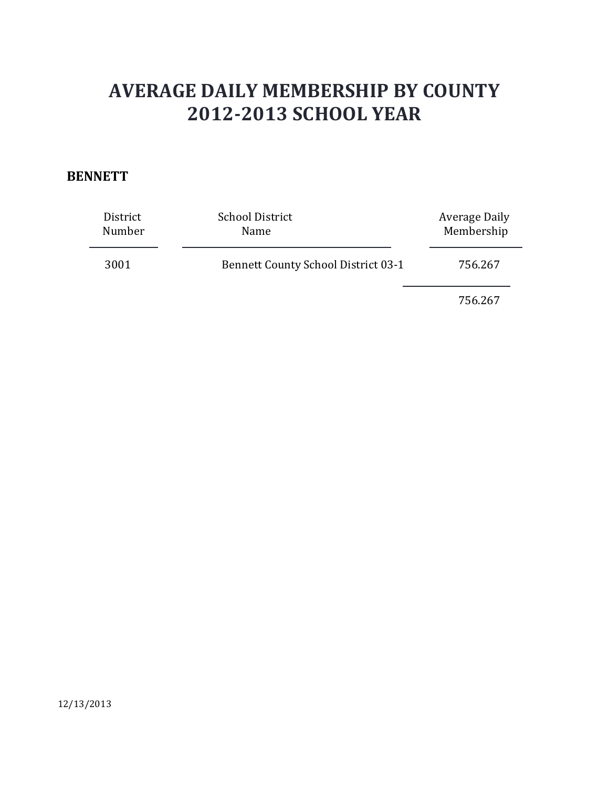#### **BENNETT**

| District | <b>School District</b>                     | Average Daily |
|----------|--------------------------------------------|---------------|
| Number   | Name                                       | Membership    |
| 3001     | <b>Bennett County School District 03-1</b> | 756.267       |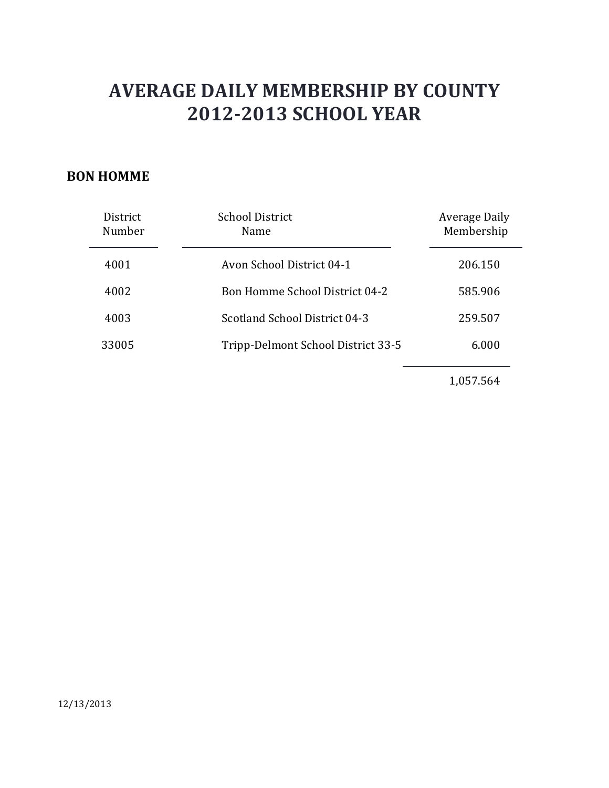### **BON HOMME**

| District<br>Number | <b>School District</b><br>Name        | Average Daily<br>Membership |
|--------------------|---------------------------------------|-----------------------------|
| 4001               | Avon School District 04-1             | 206.150                     |
| 4002               | <b>Bon Homme School District 04-2</b> | 585.906                     |
| 4003               | Scotland School District 04-3         | 259.507                     |
| 33005              | Tripp-Delmont School District 33-5    | 6.000                       |
|                    |                                       |                             |

1,057.564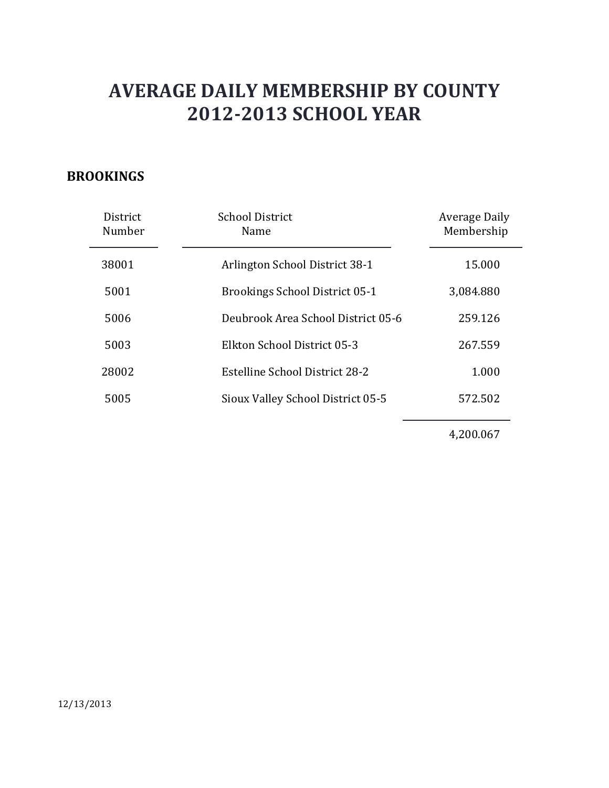### **BROOKINGS**

| District<br>Number | <b>School District</b><br>Name        | Average Daily<br>Membership |
|--------------------|---------------------------------------|-----------------------------|
| 38001              | Arlington School District 38-1        | 15.000                      |
| 5001               | <b>Brookings School District 05-1</b> | 3,084.880                   |
| 5006               | Deubrook Area School District 05-6    | 259.126                     |
| 5003               | Elkton School District 05-3           | 267.559                     |
| 28002              | Estelline School District 28-2        | 1.000                       |
| 5005               | Sioux Valley School District 05-5     | 572.502                     |

4,200.067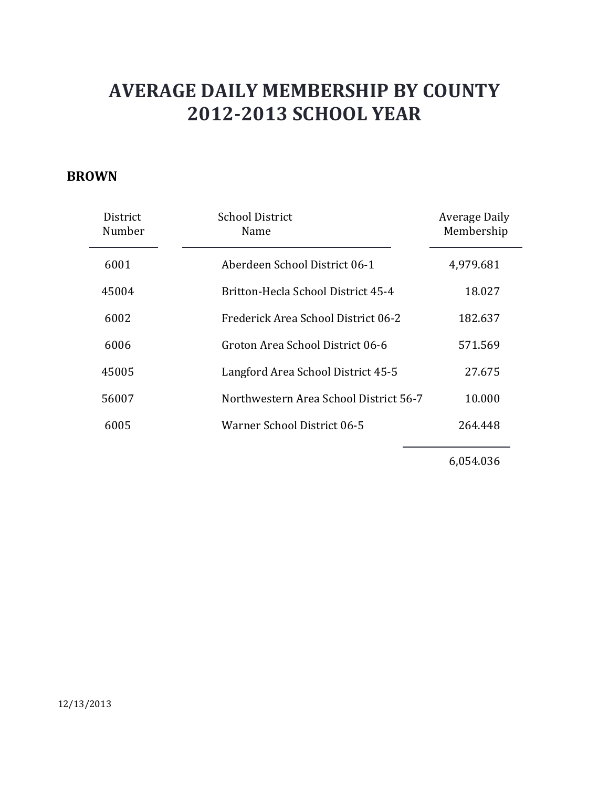#### **BROWN**

| District<br>Number | <b>School District</b><br>Name         | Average Daily<br>Membership |
|--------------------|----------------------------------------|-----------------------------|
| 6001               | Aberdeen School District 06-1          | 4,979.681                   |
| 45004              | Britton-Hecla School District 45-4     | 18.027                      |
| 6002               | Frederick Area School District 06-2    | 182.637                     |
| 6006               | Groton Area School District 06-6       | 571.569                     |
| 45005              | Langford Area School District 45-5     | 27.675                      |
| 56007              | Northwestern Area School District 56-7 | 10.000                      |
| 6005               | Warner School District 06-5            | 264.448                     |

6,054.036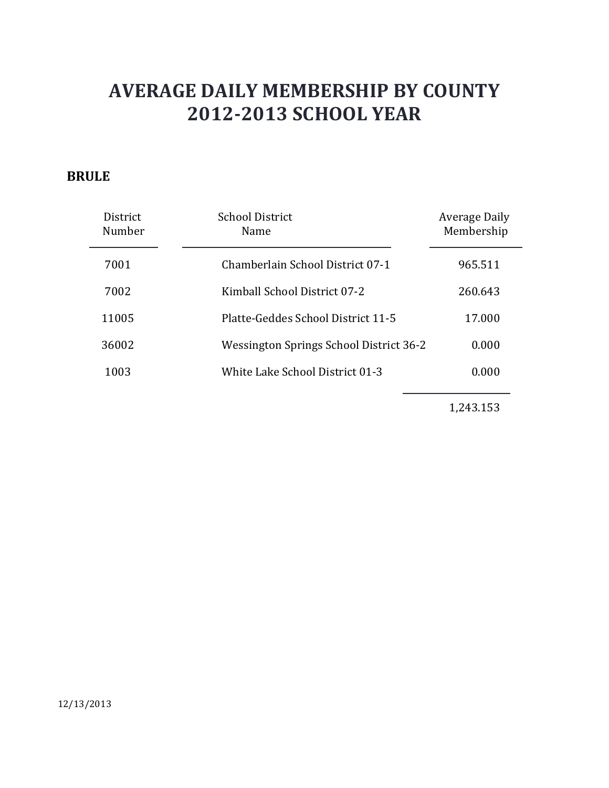### **BRULE**

| District<br>Number | <b>School District</b><br>Name          | Average Daily<br>Membership |
|--------------------|-----------------------------------------|-----------------------------|
| 7001               | Chamberlain School District 07-1        | 965.511                     |
| 7002               | Kimball School District 07-2            | 260.643                     |
| 11005              | Platte-Geddes School District 11-5      | 17.000                      |
| 36002              | Wessington Springs School District 36-2 | 0.000                       |
| 1003               | White Lake School District 01-3         | 0.000                       |

1,243.153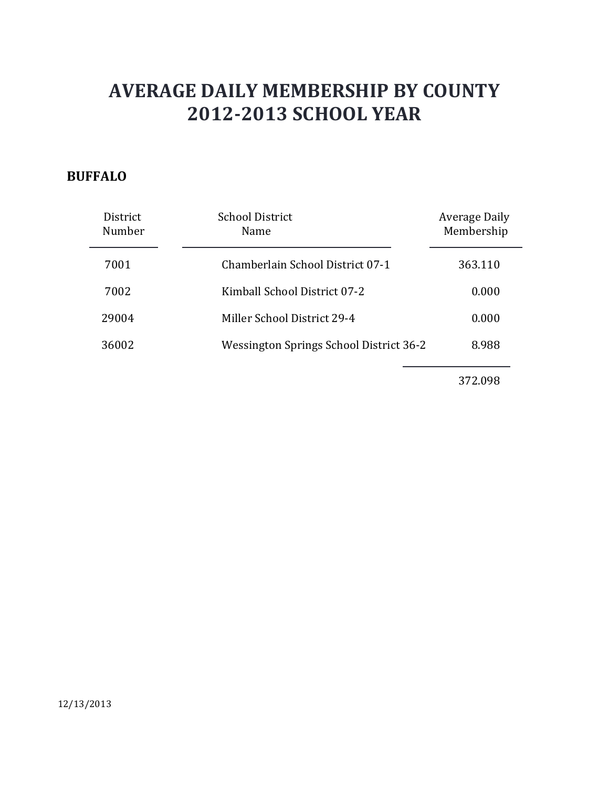### **BUFFALO**

| District<br>Number | <b>School District</b><br>Name          | <b>Average Daily</b><br>Membership |
|--------------------|-----------------------------------------|------------------------------------|
| 7001               | Chamberlain School District 07-1        | 363.110                            |
| 7002               | Kimball School District 07-2            | 0.000                              |
| 29004              | Miller School District 29-4             | 0.000                              |
| 36002              | Wessington Springs School District 36-2 | 8.988                              |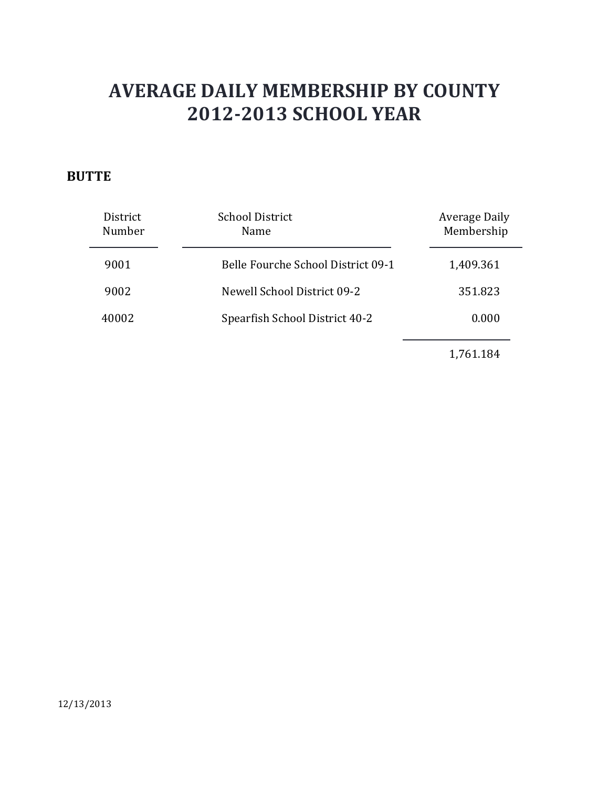### **BUTTE**

| District<br>Number | <b>School District</b><br>Name     | Average Daily<br>Membership |
|--------------------|------------------------------------|-----------------------------|
| 9001               | Belle Fourche School District 09-1 | 1,409.361                   |
| 9002               | Newell School District 09-2        | 351.823                     |
| 40002              | Spearfish School District 40-2     | 0.000                       |
|                    |                                    |                             |

1,761.184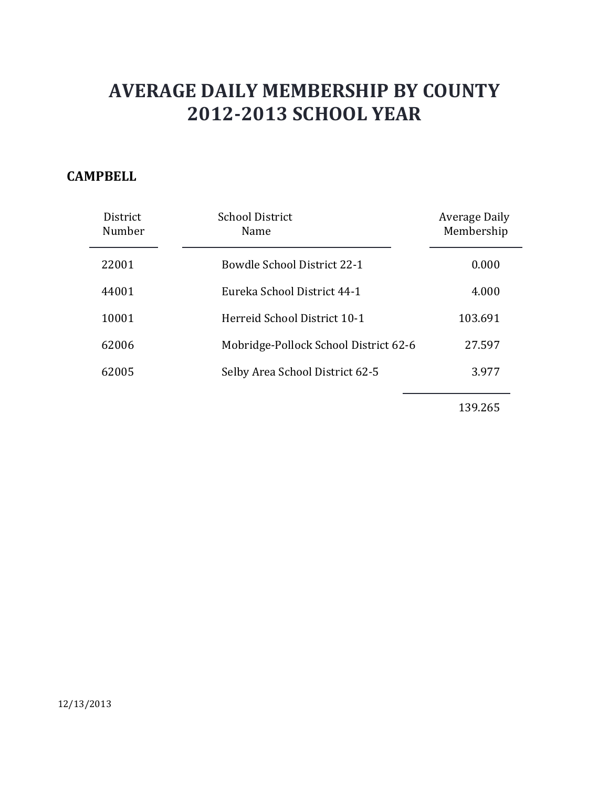### **CAMPBELL**

| District<br>Number | <b>School District</b><br>Name        | Average Daily<br>Membership |
|--------------------|---------------------------------------|-----------------------------|
| 22001              | <b>Bowdle School District 22-1</b>    | 0.000                       |
| 44001              | Eureka School District 44-1           | 4.000                       |
| 10001              | Herreid School District 10-1          | 103.691                     |
| 62006              | Mobridge-Pollock School District 62-6 | 27.597                      |
| 62005              | Selby Area School District 62-5       | 3.977                       |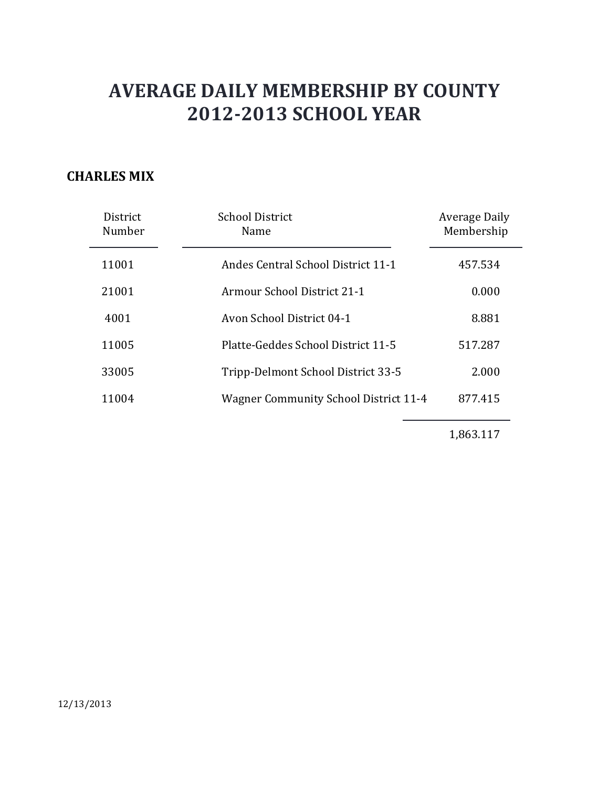#### **CHARLES MIX**

| District<br>Number | <b>School District</b><br>Name               | Average Daily<br>Membership |
|--------------------|----------------------------------------------|-----------------------------|
| 11001              | Andes Central School District 11-1           | 457.534                     |
| 21001              | Armour School District 21-1                  | 0.000                       |
| 4001               | Avon School District 04-1                    | 8.881                       |
| 11005              | Platte-Geddes School District 11-5           | 517.287                     |
| 33005              | Tripp-Delmont School District 33-5           | 2.000                       |
| 11004              | <b>Wagner Community School District 11-4</b> | 877.415                     |

1,863.117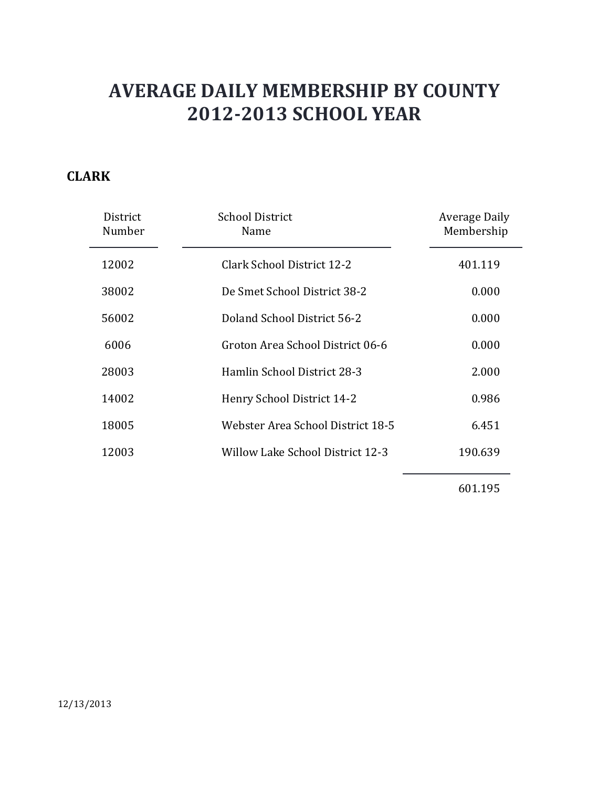### **CLARK**

| District<br>Number | <b>School District</b><br>Name    | Average Daily<br>Membership |
|--------------------|-----------------------------------|-----------------------------|
| 12002              | Clark School District 12-2        | 401.119                     |
| 38002              | De Smet School District 38-2      | 0.000                       |
| 56002              | Doland School District 56-2       | 0.000                       |
| 6006               | Groton Area School District 06-6  | 0.000                       |
| 28003              | Hamlin School District 28-3       | 2.000                       |
| 14002              | Henry School District 14-2        | 0.986                       |
| 18005              | Webster Area School District 18-5 | 6.451                       |
| 12003              | Willow Lake School District 12-3  | 190.639                     |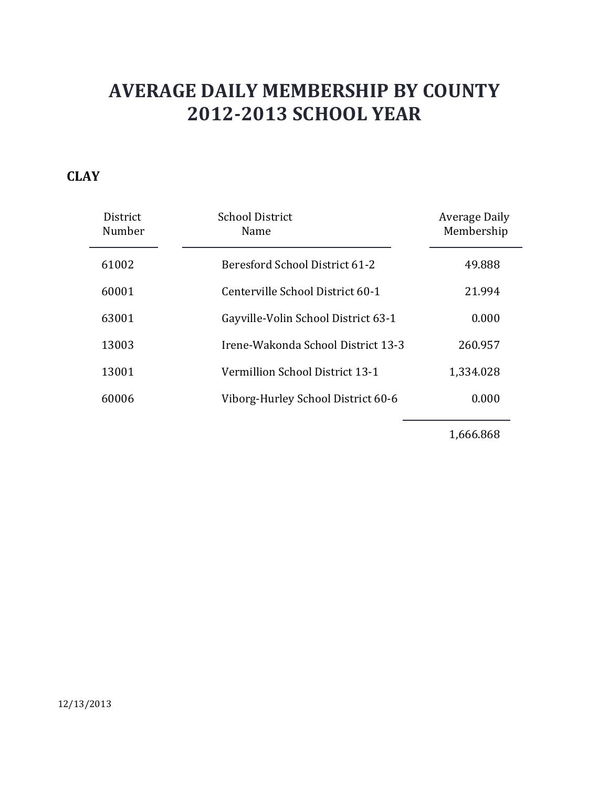### **CLAY**

| District<br>Number | <b>School District</b><br>Name      | Average Daily<br>Membership |
|--------------------|-------------------------------------|-----------------------------|
| 61002              | Beresford School District 61-2      | 49.888                      |
| 60001              | Centerville School District 60-1    | 21.994                      |
| 63001              | Gayville-Volin School District 63-1 | 0.000                       |
| 13003              | Irene-Wakonda School District 13-3  | 260.957                     |
| 13001              | Vermillion School District 13-1     | 1,334.028                   |
| 60006              | Viborg-Hurley School District 60-6  | 0.000                       |

1,666.868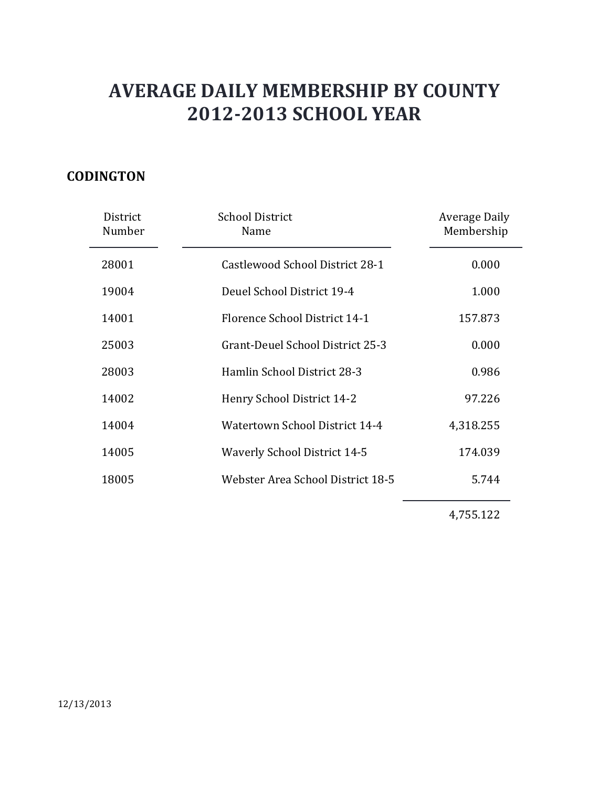### **CODINGTON**

| District<br>Number | <b>School District</b><br>Name      | Average Daily<br>Membership |
|--------------------|-------------------------------------|-----------------------------|
| 28001              | Castlewood School District 28-1     | 0.000                       |
| 19004              | Deuel School District 19-4          | 1.000                       |
| 14001              | Florence School District 14-1       | 157.873                     |
| 25003              | Grant-Deuel School District 25-3    | 0.000                       |
| 28003              | Hamlin School District 28-3         | 0.986                       |
| 14002              | Henry School District 14-2          | 97.226                      |
| 14004              | Watertown School District 14-4      | 4,318.255                   |
| 14005              | <b>Waverly School District 14-5</b> | 174.039                     |
| 18005              | Webster Area School District 18-5   | 5.744                       |
|                    |                                     |                             |

4,755.122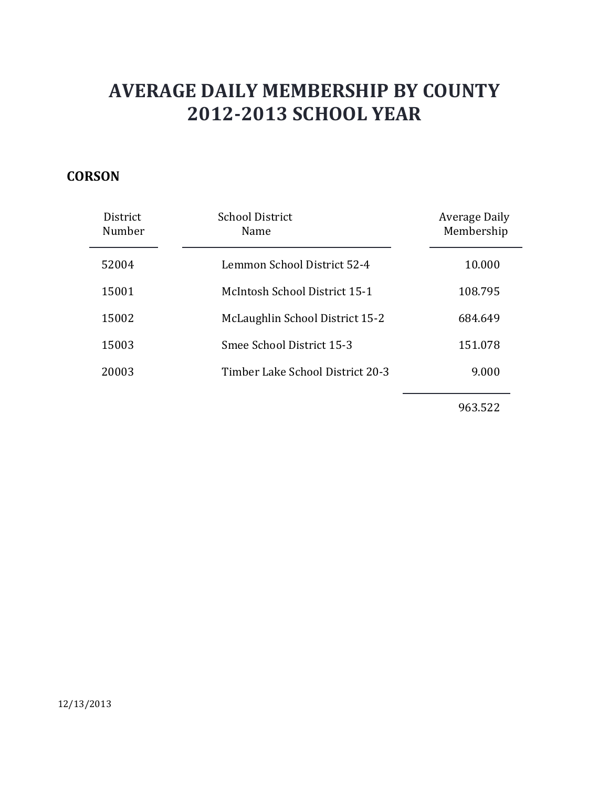### **CORSON**

| <b>District</b><br>Number | <b>School District</b><br>Name   | Average Daily<br>Membership |
|---------------------------|----------------------------------|-----------------------------|
| 52004                     | Lemmon School District 52-4      | 10.000                      |
| 15001                     | McIntosh School District 15-1    | 108.795                     |
| 15002                     | McLaughlin School District 15-2  | 684.649                     |
| 15003                     | Smee School District 15-3        | 151.078                     |
| 20003                     | Timber Lake School District 20-3 | 9.000                       |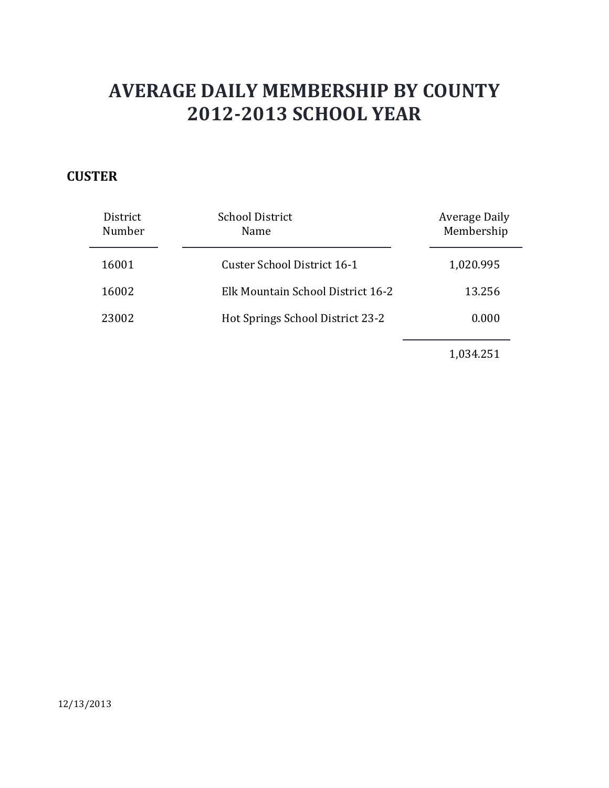### **CUSTER**

| District<br>Number | <b>School District</b><br>Name     | Average Daily<br>Membership |
|--------------------|------------------------------------|-----------------------------|
| 16001              | <b>Custer School District 16-1</b> | 1,020.995                   |
| 16002              | Elk Mountain School District 16-2  | 13.256                      |
| 23002              | Hot Springs School District 23-2   | 0.000                       |
|                    |                                    |                             |

1,034.251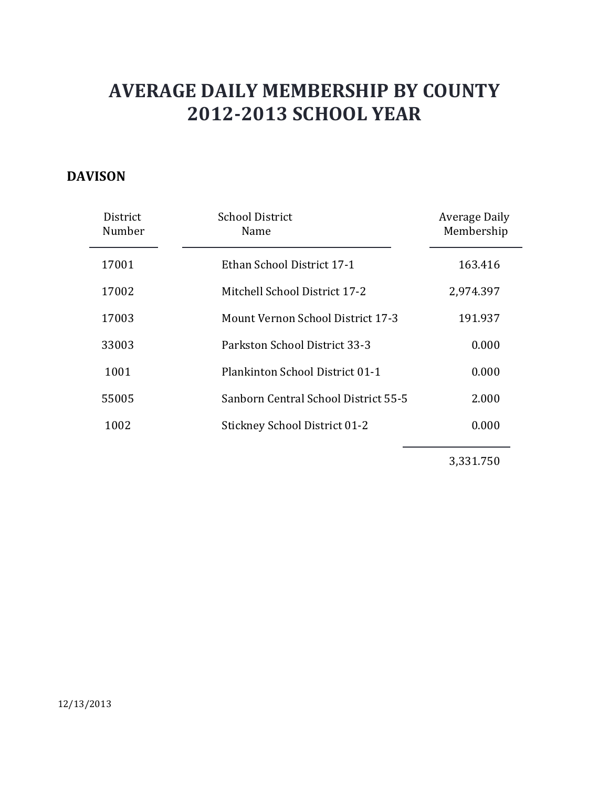### **DAVISON**

| District<br>Number | <b>School District</b><br>Name           | Average Daily<br>Membership |
|--------------------|------------------------------------------|-----------------------------|
| 17001              | Ethan School District 17-1               | 163.416                     |
| 17002              | Mitchell School District 17-2            | 2,974.397                   |
| 17003              | <b>Mount Vernon School District 17-3</b> | 191.937                     |
| 33003              | Parkston School District 33-3            | 0.000                       |
| 1001               | Plankinton School District 01-1          | 0.000                       |
| 55005              | Sanborn Central School District 55-5     | 2.000                       |
| 1002               | <b>Stickney School District 01-2</b>     | 0.000                       |

3,331.750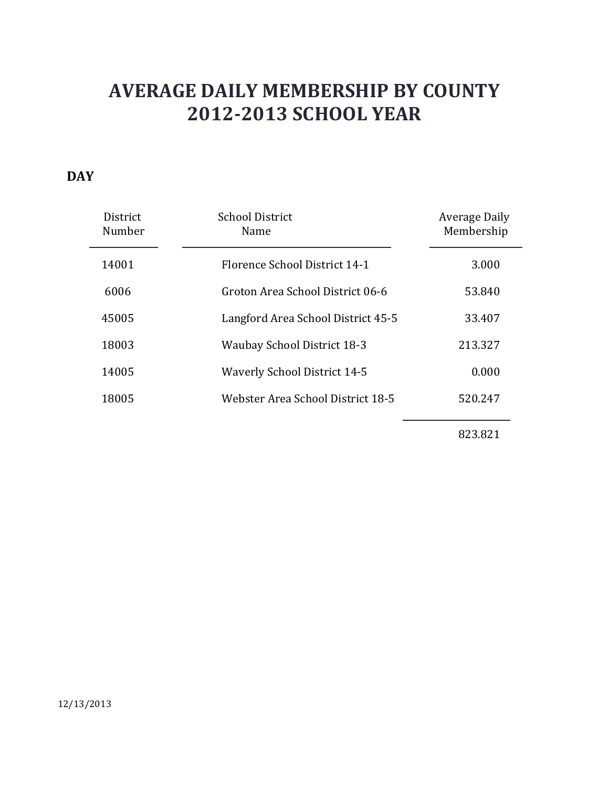### **DAY**

| District<br>Number | <b>School District</b><br>Name      | Average Daily<br>Membership |
|--------------------|-------------------------------------|-----------------------------|
| 14001              | Florence School District 14-1       | 3.000                       |
| 6006               | Groton Area School District 06-6    | 53.840                      |
| 45005              | Langford Area School District 45-5  | 33.407                      |
| 18003              | <b>Waubay School District 18-3</b>  | 213.327                     |
| 14005              | <b>Waverly School District 14-5</b> | 0.000                       |
| 18005              | Webster Area School District 18-5   | 520.247                     |
|                    |                                     |                             |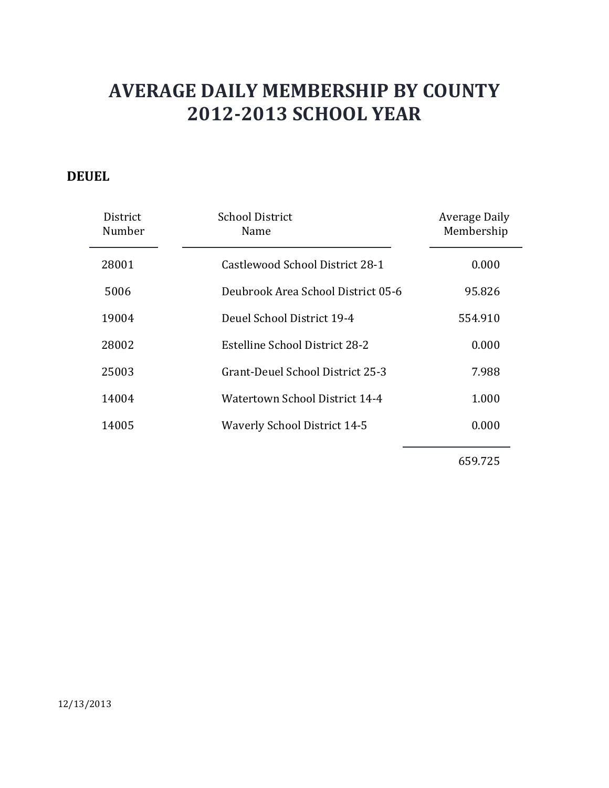### **DEUEL**

| District<br>Number | <b>School District</b><br>Name      | Average Daily<br>Membership |
|--------------------|-------------------------------------|-----------------------------|
| 28001              | Castlewood School District 28-1     | 0.000                       |
| 5006               | Deubrook Area School District 05-6  | 95.826                      |
| 19004              | Deuel School District 19-4          | 554.910                     |
| 28002              | Estelline School District 28-2      | 0.000                       |
| 25003              | Grant-Deuel School District 25-3    | 7.988                       |
| 14004              | Watertown School District 14-4      | 1.000                       |
| 14005              | <b>Waverly School District 14-5</b> | 0.000                       |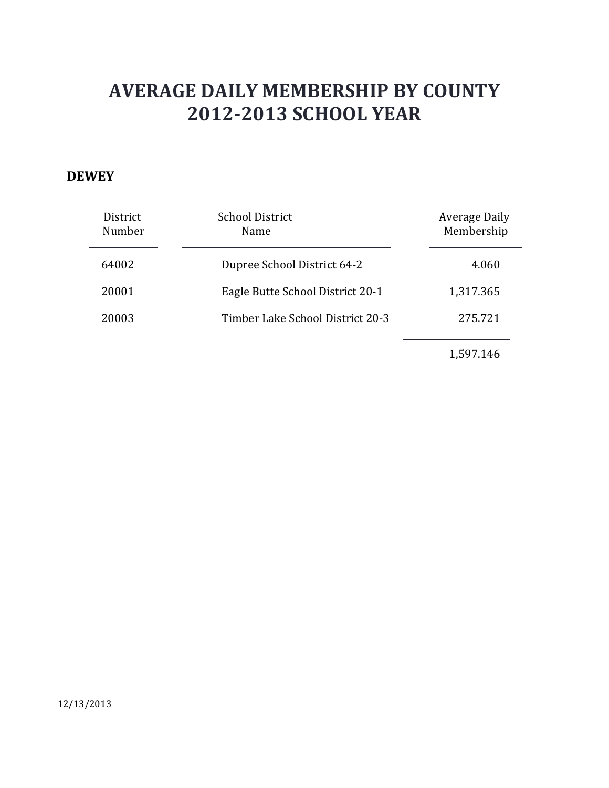#### **DEWEY**

| District<br>Number | <b>School District</b><br>Name   | Average Daily<br>Membership |
|--------------------|----------------------------------|-----------------------------|
| 64002              | Dupree School District 64-2      | 4.060                       |
| 20001              | Eagle Butte School District 20-1 | 1,317.365                   |
| 20003              | Timber Lake School District 20-3 | 275.721                     |
|                    |                                  |                             |

1,597.146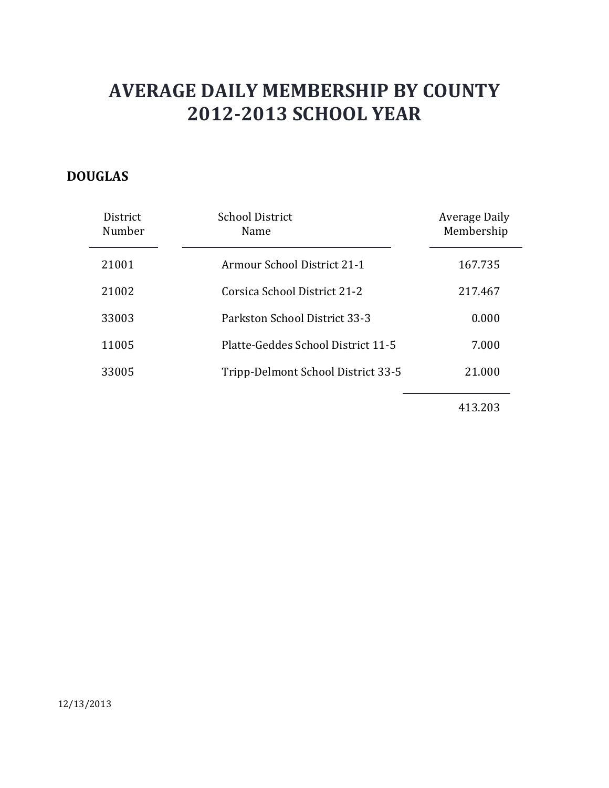### **DOUGLAS**

| District<br>Number | <b>School District</b><br>Name     | <b>Average Daily</b><br>Membership |
|--------------------|------------------------------------|------------------------------------|
| 21001              | Armour School District 21-1        | 167.735                            |
| 21002              | Corsica School District 21-2       | 217.467                            |
| 33003              | Parkston School District 33-3      | 0.000                              |
| 11005              | Platte-Geddes School District 11-5 | 7.000                              |
| 33005              | Tripp-Delmont School District 33-5 | 21.000                             |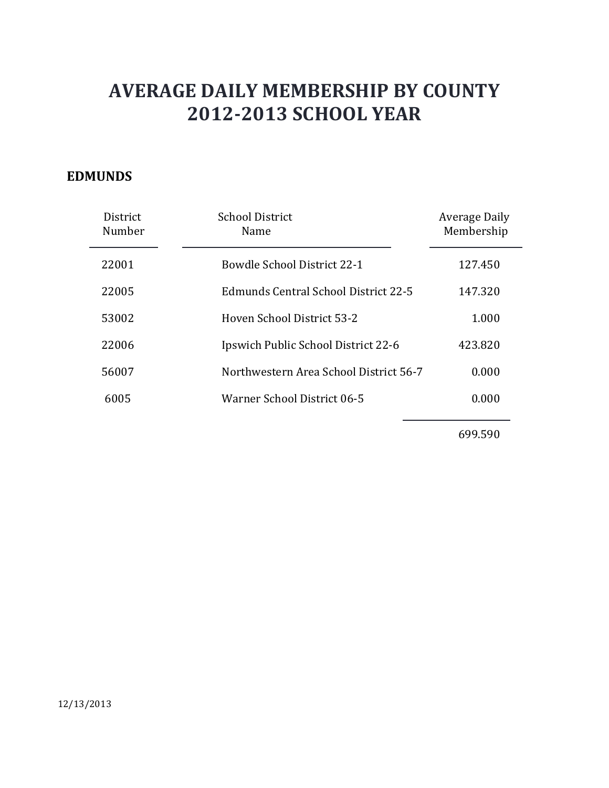### **EDMUNDS**

| District<br>Number | <b>School District</b><br>Name         | Average Daily<br>Membership |
|--------------------|----------------------------------------|-----------------------------|
| 22001              | Bowdle School District 22-1            | 127.450                     |
| 22005              | Edmunds Central School District 22-5   | 147.320                     |
| 53002              | Hoven School District 53-2             | 1.000                       |
| 22006              | Ipswich Public School District 22-6    | 423.820                     |
| 56007              | Northwestern Area School District 56-7 | 0.000                       |
| 6005               | Warner School District 06-5            | 0.000                       |
|                    |                                        |                             |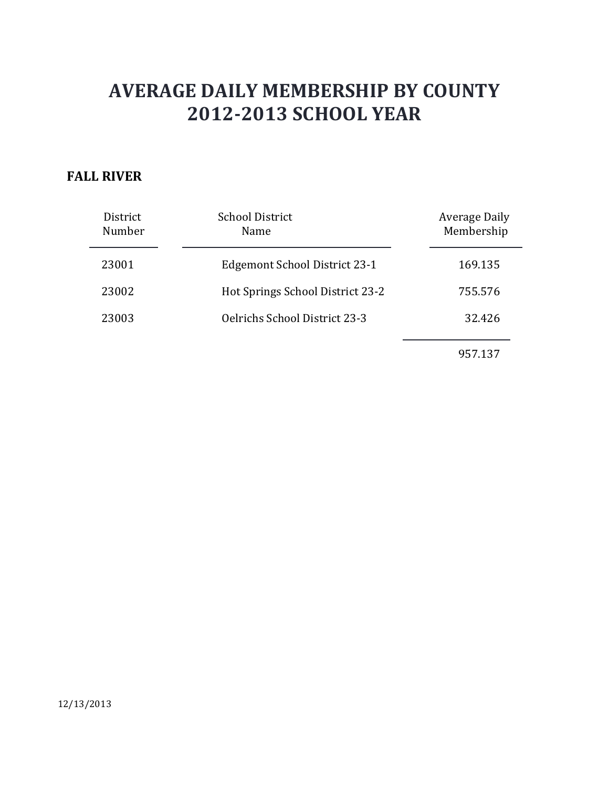### **FALL RIVER**

| District<br>Number | <b>School District</b><br>Name       | Average Daily<br>Membership |
|--------------------|--------------------------------------|-----------------------------|
| 23001              | Edgemont School District 23-1        | 169.135                     |
| 23002              | Hot Springs School District 23-2     | 755.576                     |
| 23003              | <b>Oelrichs School District 23-3</b> | 32.426                      |
|                    |                                      |                             |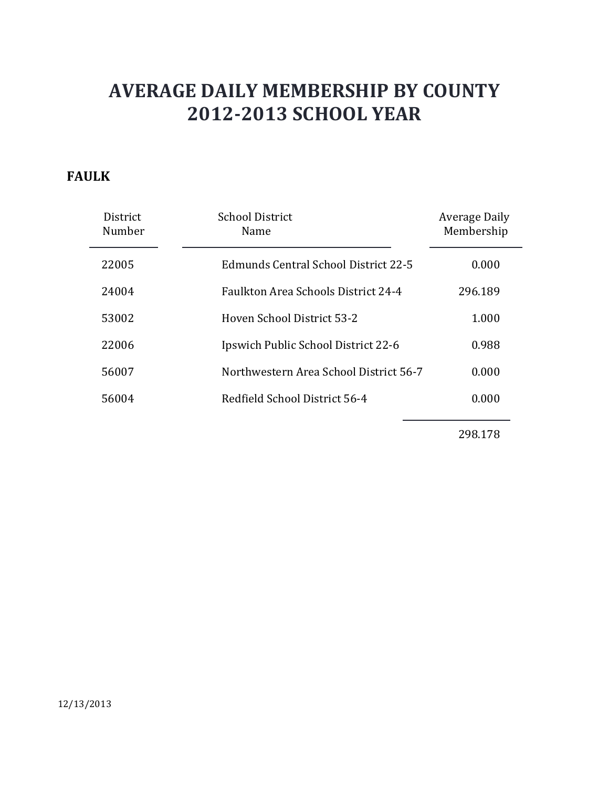#### **FAULK**

| District<br>Number | School District<br>Name                    | Average Daily<br>Membership |
|--------------------|--------------------------------------------|-----------------------------|
| 22005              | Edmunds Central School District 22-5       | 0.000                       |
| 24004              | <b>Faulkton Area Schools District 24-4</b> | 296.189                     |
| 53002              | Hoven School District 53-2                 | 1.000                       |
| 22006              | Ipswich Public School District 22-6        | 0.988                       |
| 56007              | Northwestern Area School District 56-7     | 0.000                       |
| 56004              | Redfield School District 56-4              | 0.000                       |
|                    |                                            |                             |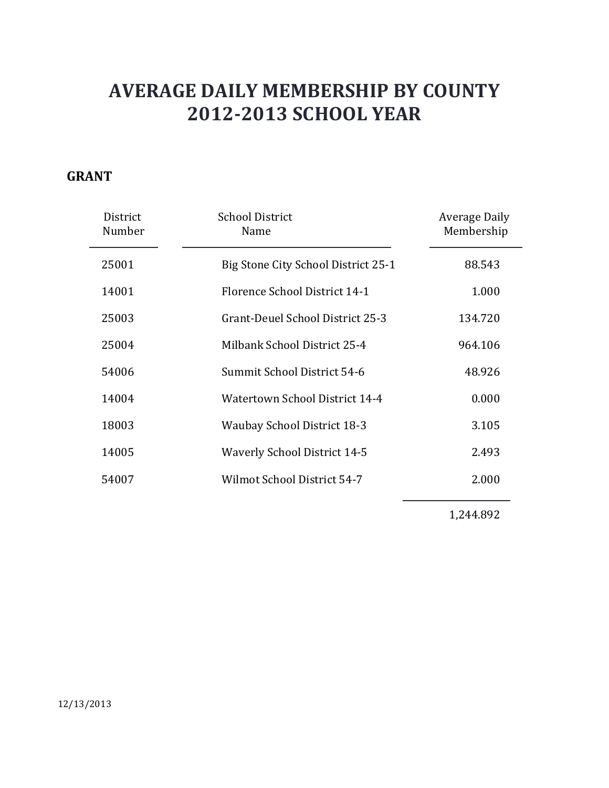### **GRANT**

| District<br>Number | <b>School District</b><br>Name      | Average Daily<br>Membership |
|--------------------|-------------------------------------|-----------------------------|
| 25001              | Big Stone City School District 25-1 | 88.543                      |
| 14001              | Florence School District 14-1       | 1.000                       |
| 25003              | Grant-Deuel School District 25-3    | 134.720                     |
| 25004              | Milbank School District 25-4        | 964.106                     |
| 54006              | Summit School District 54-6         | 48.926                      |
| 14004              | Watertown School District 14-4      | 0.000                       |
| 18003              | <b>Waubay School District 18-3</b>  | 3.105                       |
| 14005              | <b>Waverly School District 14-5</b> | 2.493                       |
| 54007              | Wilmot School District 54-7         | 2.000                       |
|                    |                                     |                             |

1,244.892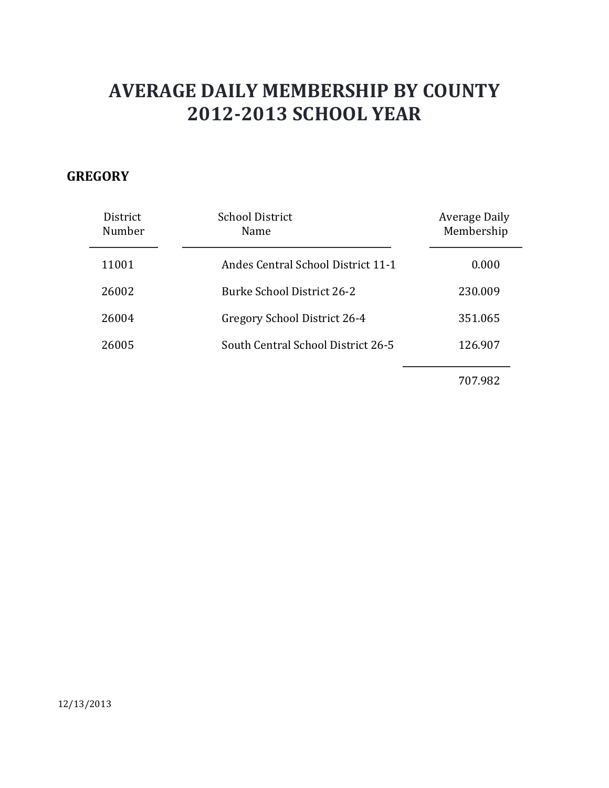### **GREGORY**

| District<br>Number | School District<br>Name            | Average Daily<br>Membership |
|--------------------|------------------------------------|-----------------------------|
| 11001              | Andes Central School District 11-1 | 0.000                       |
| 26002              | <b>Burke School District 26-2</b>  | 230.009                     |
| 26004              | Gregory School District 26-4       | 351.065                     |
| 26005              | South Central School District 26-5 | 126.907                     |
|                    |                                    |                             |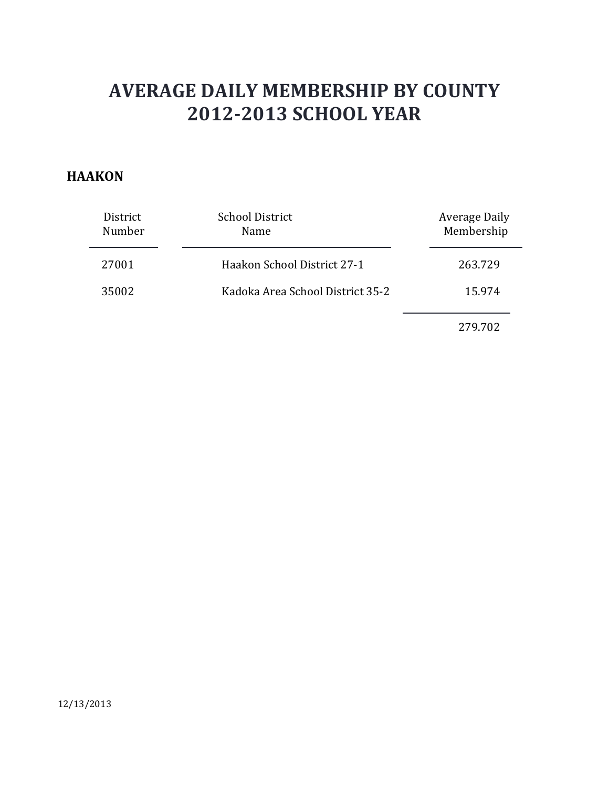#### **HAAKON**

| District<br>Number | <b>School District</b><br>Name   | Average Daily<br>Membership |
|--------------------|----------------------------------|-----------------------------|
| 27001              | Haakon School District 27-1      | 263.729                     |
| 35002              | Kadoka Area School District 35-2 | 15.974                      |
|                    |                                  |                             |

279.702

12/13/2013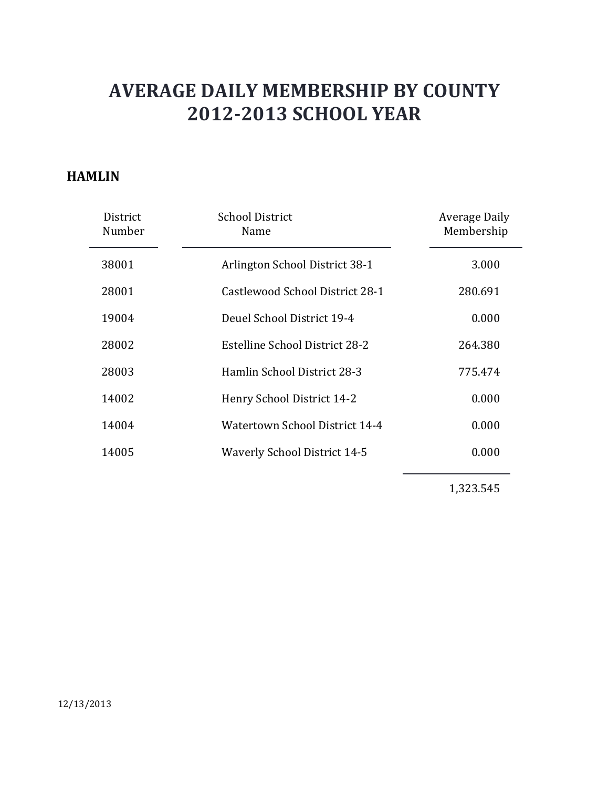#### **HAMLIN**

| District<br>Number | <b>School District</b><br>Name      | Average Daily<br>Membership |
|--------------------|-------------------------------------|-----------------------------|
| 38001              | Arlington School District 38-1      | 3.000                       |
| 28001              | Castlewood School District 28-1     | 280.691                     |
| 19004              | Deuel School District 19-4          | 0.000                       |
| 28002              | Estelline School District 28-2      | 264.380                     |
| 28003              | Hamlin School District 28-3         | 775.474                     |
| 14002              | Henry School District 14-2          | 0.000                       |
| 14004              | Watertown School District 14-4      | 0.000                       |
| 14005              | <b>Waverly School District 14-5</b> | 0.000                       |

1,323.545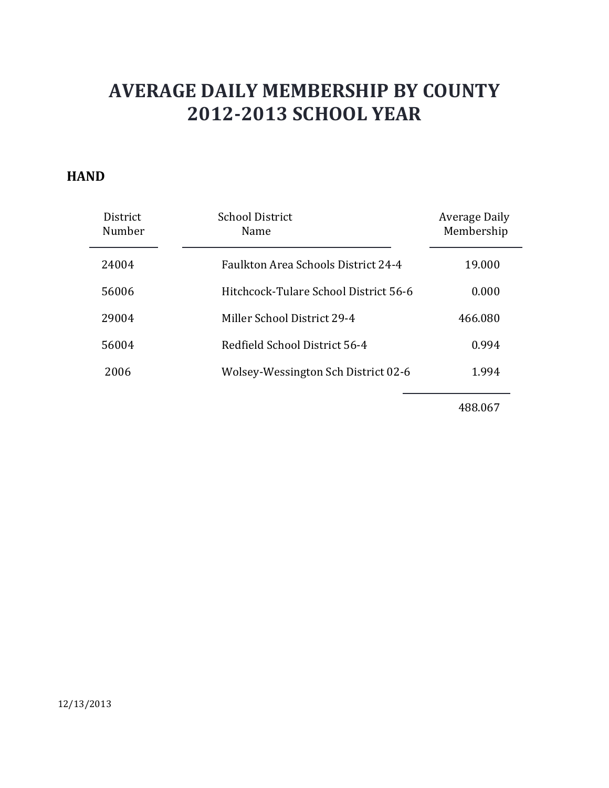#### **HAND**

| <b>District</b><br>Number | <b>School District</b><br>Name             | Average Daily<br>Membership |
|---------------------------|--------------------------------------------|-----------------------------|
| 24004                     | <b>Faulkton Area Schools District 24-4</b> | 19.000                      |
| 56006                     | Hitchcock-Tulare School District 56-6      | 0.000                       |
| 29004                     | Miller School District 29-4                | 466.080                     |
| 56004                     | Redfield School District 56-4              | 0.994                       |
| 2006                      | Wolsey-Wessington Sch District 02-6        | 1.994                       |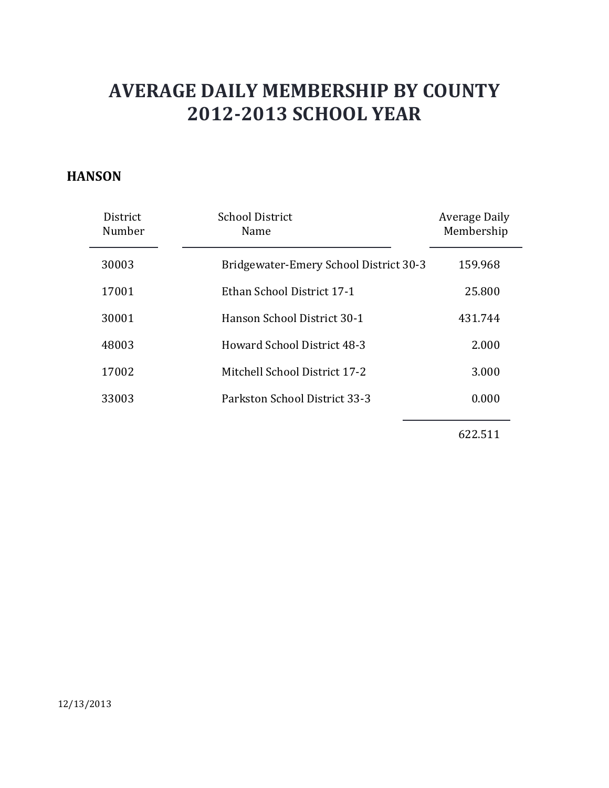#### **HANSON**

| District<br>Number | <b>School District</b><br>Name         | Average Daily<br>Membership |
|--------------------|----------------------------------------|-----------------------------|
| 30003              | Bridgewater-Emery School District 30-3 | 159.968                     |
| 17001              | Ethan School District 17-1             | 25.800                      |
| 30001              | Hanson School District 30-1            | 431.744                     |
| 48003              | <b>Howard School District 48-3</b>     | 2.000                       |
| 17002              | Mitchell School District 17-2          | 3.000                       |
| 33003              | Parkston School District 33-3          | 0.000                       |
|                    |                                        |                             |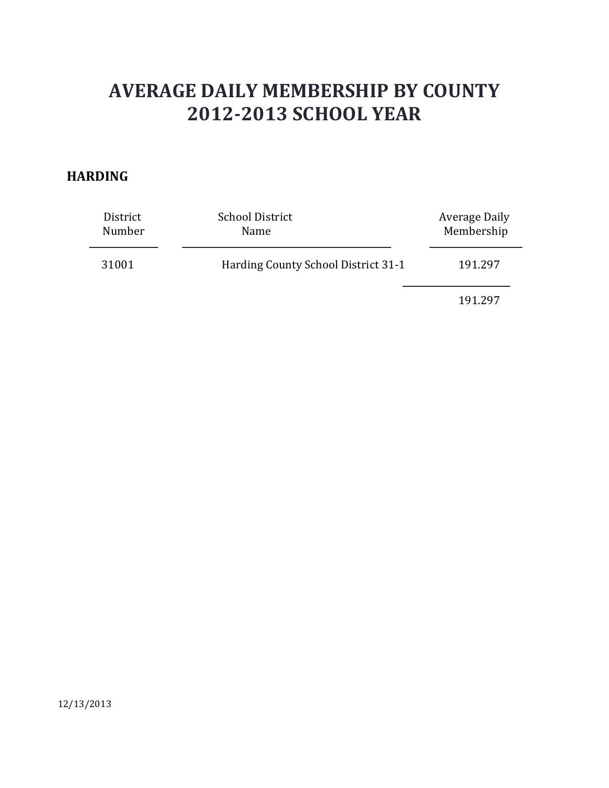### **HARDING**

| District<br>Number | <b>School District</b><br>Name      | Average Daily<br>Membership |
|--------------------|-------------------------------------|-----------------------------|
| 31001              | Harding County School District 31-1 | 191.297                     |
|                    |                                     | 191.297                     |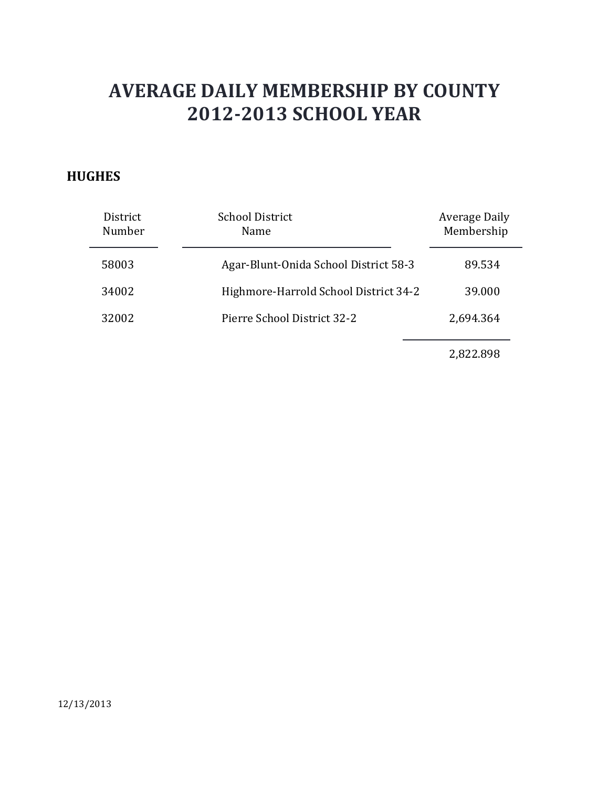### **HUGHES**

| District<br>Number | <b>School District</b><br>Name        | Average Daily<br>Membership |
|--------------------|---------------------------------------|-----------------------------|
| 58003              | Agar-Blunt-Onida School District 58-3 | 89.534                      |
| 34002              | Highmore-Harrold School District 34-2 | 39.000                      |
| 32002              | Pierre School District 32-2           | 2,694.364                   |
|                    |                                       | 2,822.898                   |

12/13/2013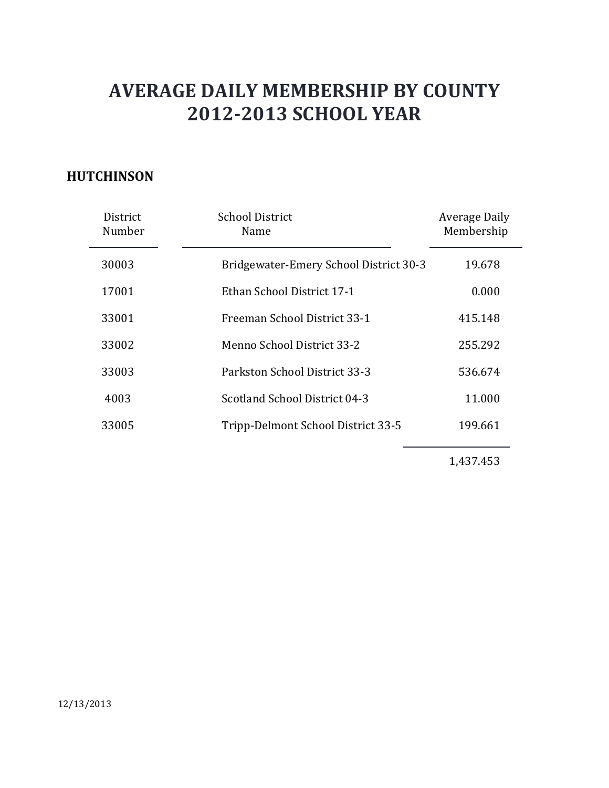### **HUTCHINSON**

| District<br>Number | <b>School District</b><br>Name         | Average Daily<br>Membership |
|--------------------|----------------------------------------|-----------------------------|
| 30003              | Bridgewater-Emery School District 30-3 | 19.678                      |
| 17001              | Ethan School District 17-1             | 0.000                       |
| 33001              | Freeman School District 33-1           | 415.148                     |
| 33002              | Menno School District 33-2             | 255.292                     |
| 33003              | Parkston School District 33-3          | 536.674                     |
| 4003               | Scotland School District 04-3          | 11.000                      |
| 33005              | Tripp-Delmont School District 33-5     | 199.661                     |

1,437.453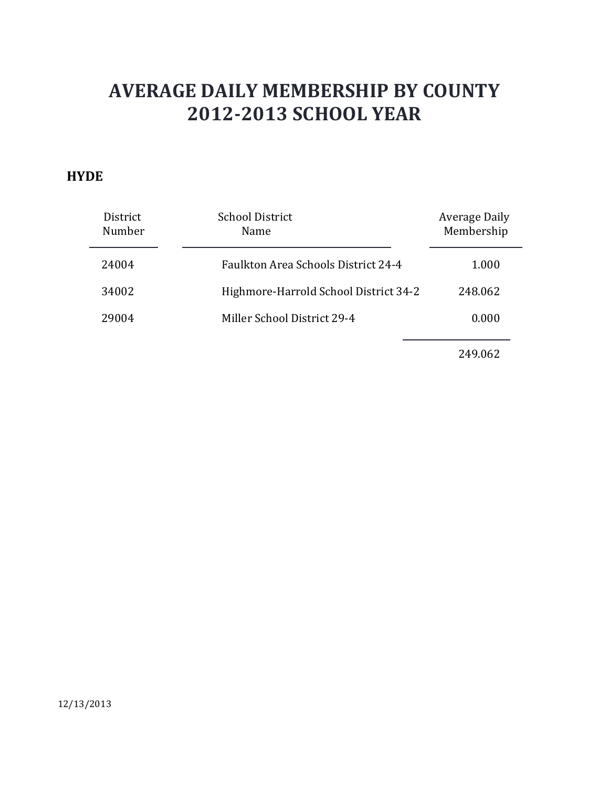#### **HYDE**

| District<br>Number | <b>School District</b><br>Name        | Average Daily<br>Membership |
|--------------------|---------------------------------------|-----------------------------|
| 24004              | Faulkton Area Schools District 24-4   | 1.000                       |
| 34002              | Highmore-Harrold School District 34-2 | 248.062                     |
| 29004              | Miller School District 29-4           | 0.000                       |
|                    |                                       |                             |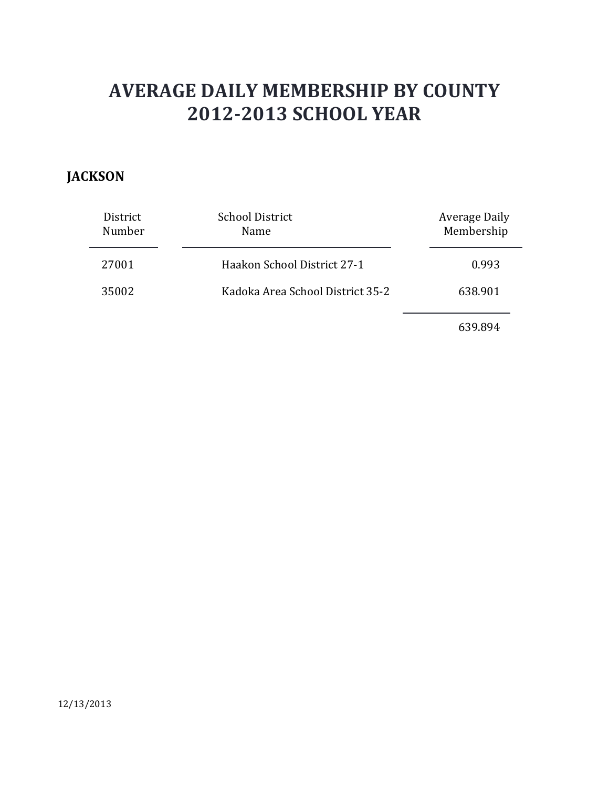### **JACKSON**

| District<br>Number | <b>School District</b><br><b>Name</b> | Average Daily<br>Membership |
|--------------------|---------------------------------------|-----------------------------|
| 27001              | Haakon School District 27-1           | 0.993                       |
| 35002              | Kadoka Area School District 35-2      | 638.901                     |
|                    |                                       |                             |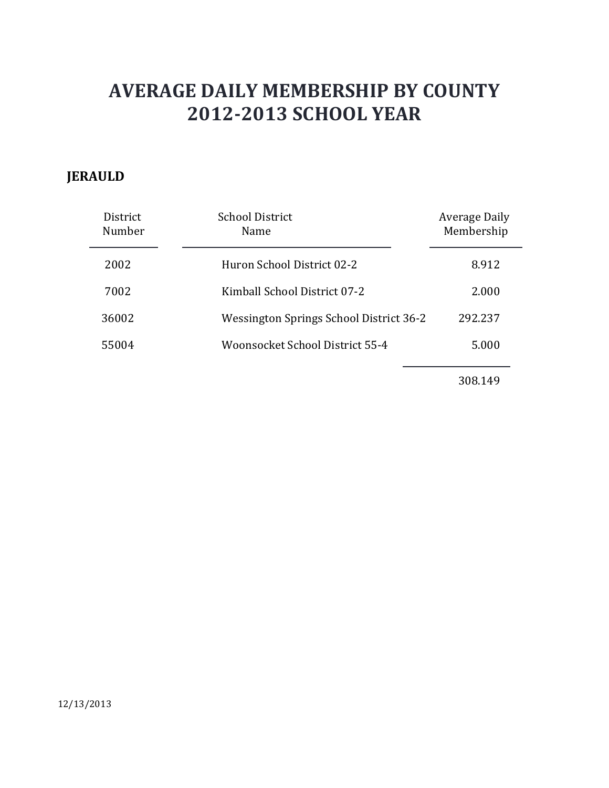### **JERAULD**

| District<br>Number | <b>School District</b><br>Name          | Average Daily<br>Membership |
|--------------------|-----------------------------------------|-----------------------------|
| 2002               | Huron School District 02-2              | 8.912                       |
| 7002               | Kimball School District 07-2            | 2.000                       |
| 36002              | Wessington Springs School District 36-2 | 292.237                     |
| 55004              | Woonsocket School District 55-4         | 5.000                       |
|                    |                                         |                             |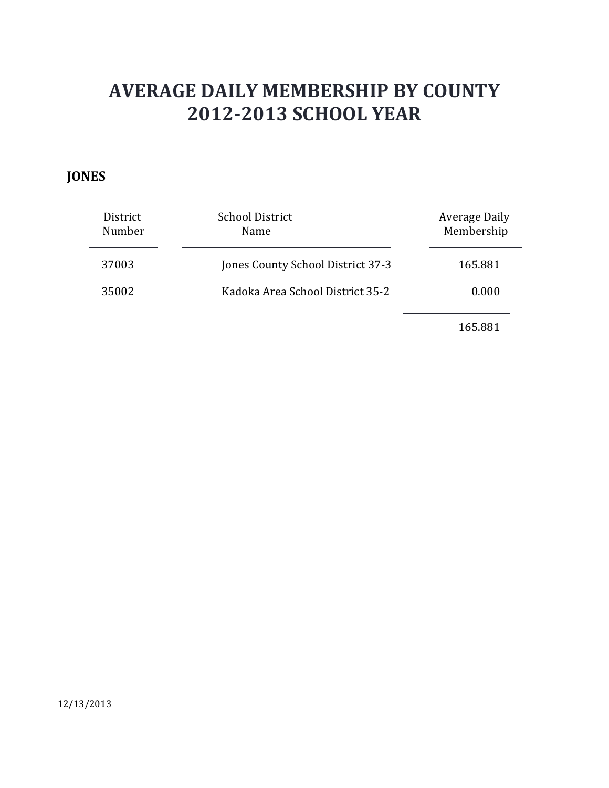### **JONES**

| District<br>Number | <b>School District</b><br>Name    | Average Daily<br>Membership |
|--------------------|-----------------------------------|-----------------------------|
| 37003              | Jones County School District 37-3 | 165.881                     |
| 35002              | Kadoka Area School District 35-2  | 0.000                       |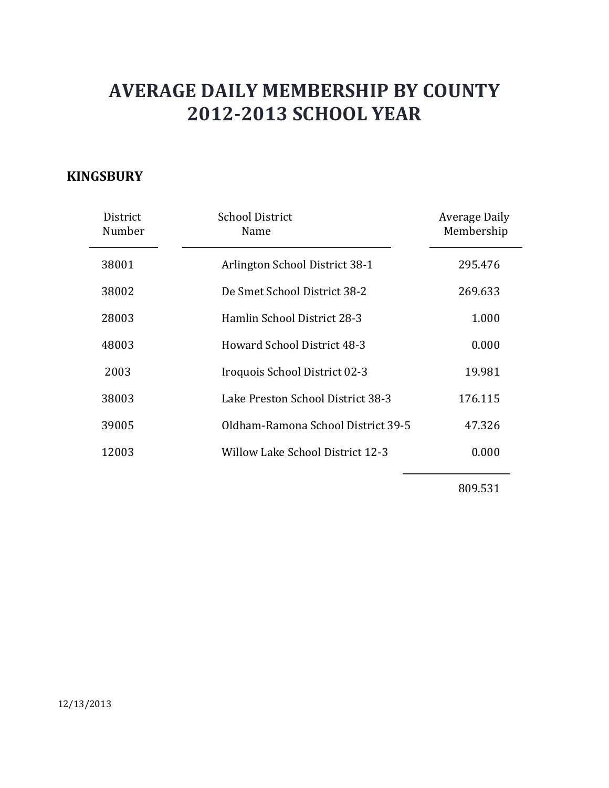### **KINGSBURY**

| District<br>Number | <b>School District</b><br>Name          | Average Daily<br>Membership |
|--------------------|-----------------------------------------|-----------------------------|
| 38001              | Arlington School District 38-1          | 295.476                     |
| 38002              | De Smet School District 38-2            | 269.633                     |
| 28003              | Hamlin School District 28-3             | 1.000                       |
| 48003              | Howard School District 48-3             | 0.000                       |
| 2003               | Iroquois School District 02-3           | 19.981                      |
| 38003              | Lake Preston School District 38-3       | 176.115                     |
| 39005              | Oldham-Ramona School District 39-5      | 47.326                      |
| 12003              | <b>Willow Lake School District 12-3</b> | 0.000                       |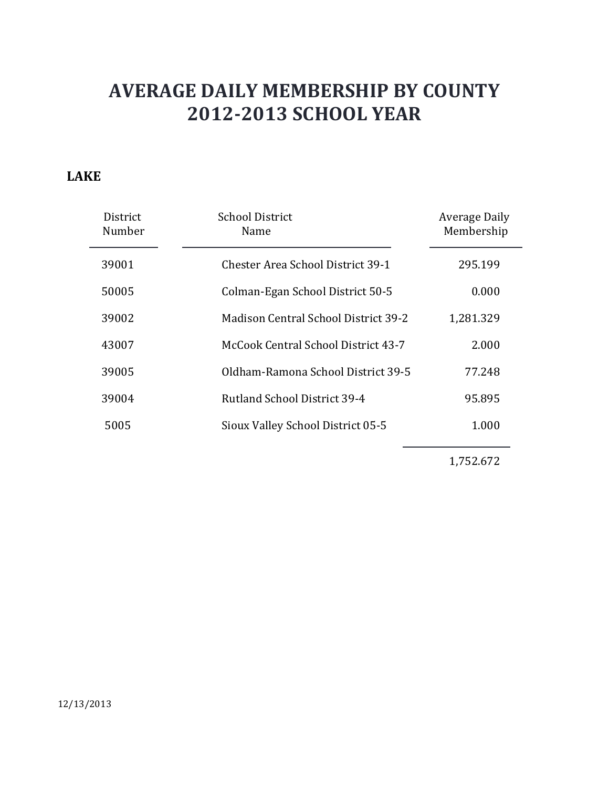### **LAKE**

| District<br>Number | <b>School District</b><br>Name           | Average Daily<br>Membership |
|--------------------|------------------------------------------|-----------------------------|
| 39001              | <b>Chester Area School District 39-1</b> | 295.199                     |
| 50005              | Colman-Egan School District 50-5         | 0.000                       |
| 39002              | Madison Central School District 39-2     | 1,281.329                   |
| 43007              | McCook Central School District 43-7      | 2.000                       |
| 39005              | Oldham-Ramona School District 39-5       | 77.248                      |
| 39004              | Rutland School District 39-4             | 95.895                      |
| 5005               | Sioux Valley School District 05-5        | 1.000                       |

1,752.672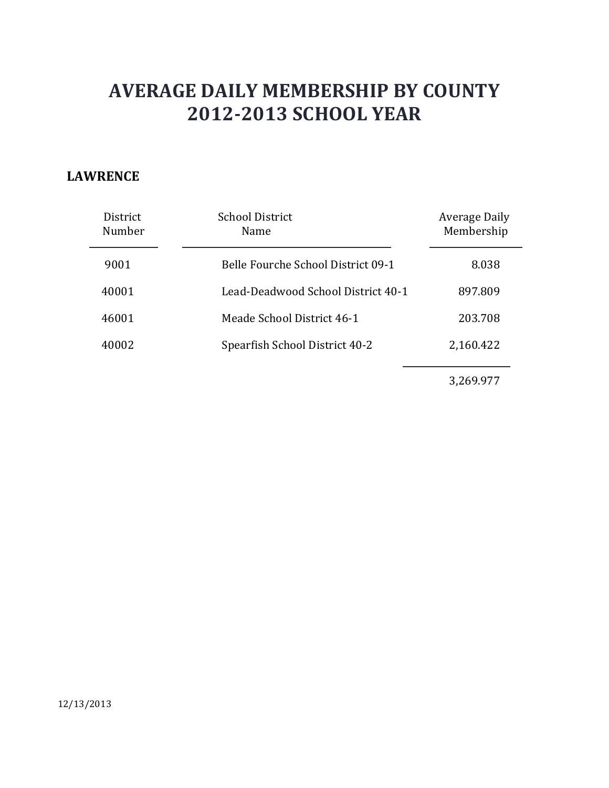#### **LAWRENCE**

| District<br>Number | <b>School District</b><br>Name     | Average Daily<br>Membership |
|--------------------|------------------------------------|-----------------------------|
| 9001               | Belle Fourche School District 09-1 | 8.038                       |
| 40001              | Lead-Deadwood School District 40-1 | 897.809                     |
| 46001              | Meade School District 46-1         | 203.708                     |
| 40002              | Spearfish School District 40-2     | 2,160.422                   |
|                    |                                    |                             |

3,269.977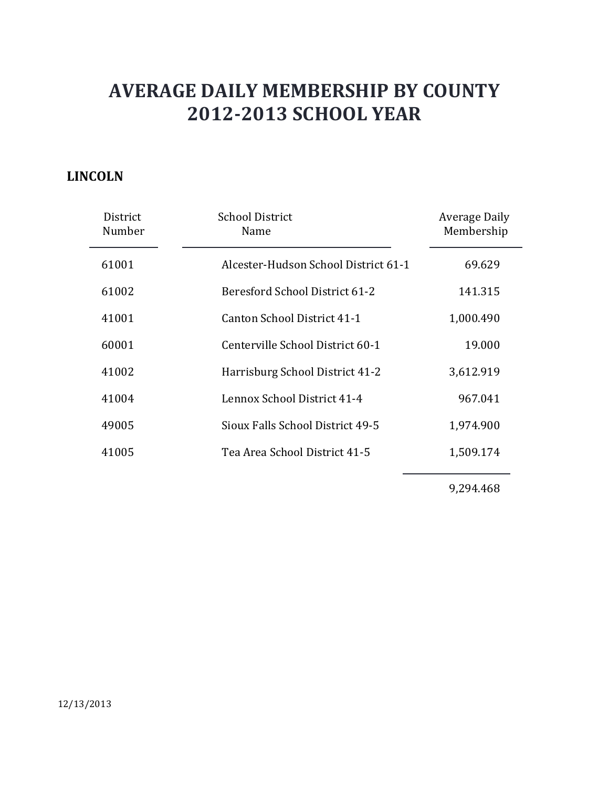### **LINCOLN**

| District<br>Number | <b>School District</b><br>Name       | Average Daily<br>Membership |
|--------------------|--------------------------------------|-----------------------------|
| 61001              | Alcester-Hudson School District 61-1 | 69.629                      |
| 61002              | Beresford School District 61-2       | 141.315                     |
| 41001              | Canton School District 41-1          | 1,000.490                   |
| 60001              | Centerville School District 60-1     | 19.000                      |
| 41002              | Harrisburg School District 41-2      | 3,612.919                   |
| 41004              | Lennox School District 41-4          | 967.041                     |
| 49005              | Sioux Falls School District 49-5     | 1,974.900                   |
| 41005              | Tea Area School District 41-5        | 1,509.174                   |
|                    |                                      |                             |

9,294.468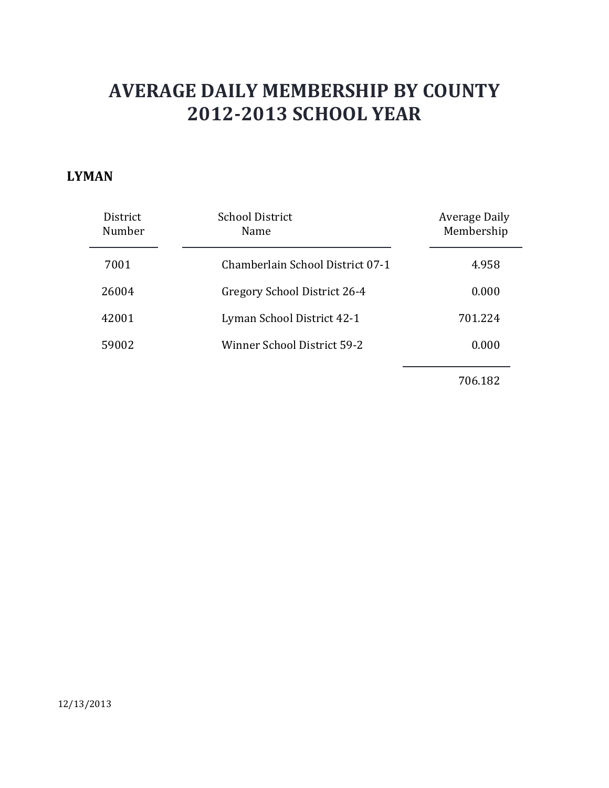#### **LYMAN**

| District<br>Number | <b>School District</b><br>Name   | Average Daily<br>Membership |
|--------------------|----------------------------------|-----------------------------|
| 7001               | Chamberlain School District 07-1 | 4.958                       |
| 26004              | Gregory School District 26-4     | 0.000                       |
| 42001              | Lyman School District 42-1       | 701.224                     |
| 59002              | Winner School District 59-2      | 0.000                       |
|                    |                                  |                             |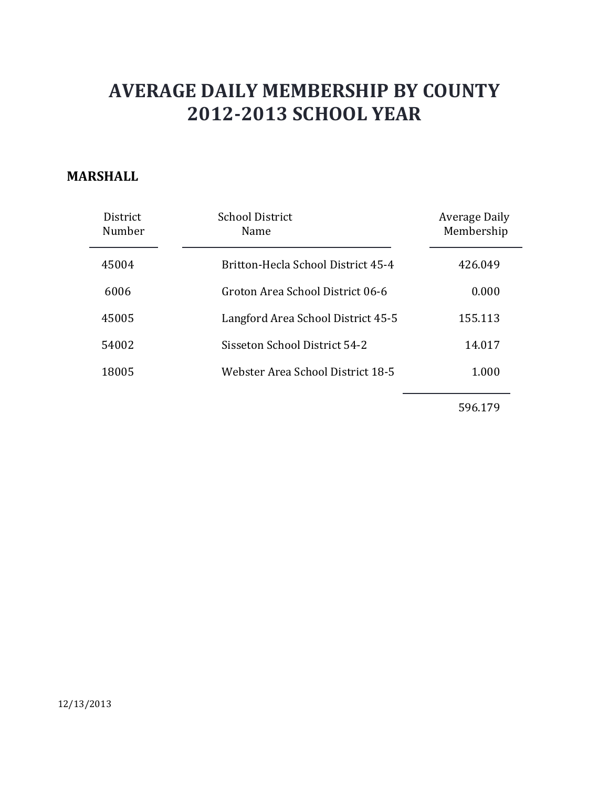#### **MARSHALL**

| District<br>Number | <b>School District</b><br><b>Name</b> | <b>Average Daily</b><br>Membership |
|--------------------|---------------------------------------|------------------------------------|
| 45004              | Britton-Hecla School District 45-4    | 426.049                            |
| 6006               | Groton Area School District 06-6      | 0.000                              |
| 45005              | Langford Area School District 45-5    | 155.113                            |
| 54002              | Sisseton School District 54-2         | 14.017                             |
| 18005              | Webster Area School District 18-5     | 1.000                              |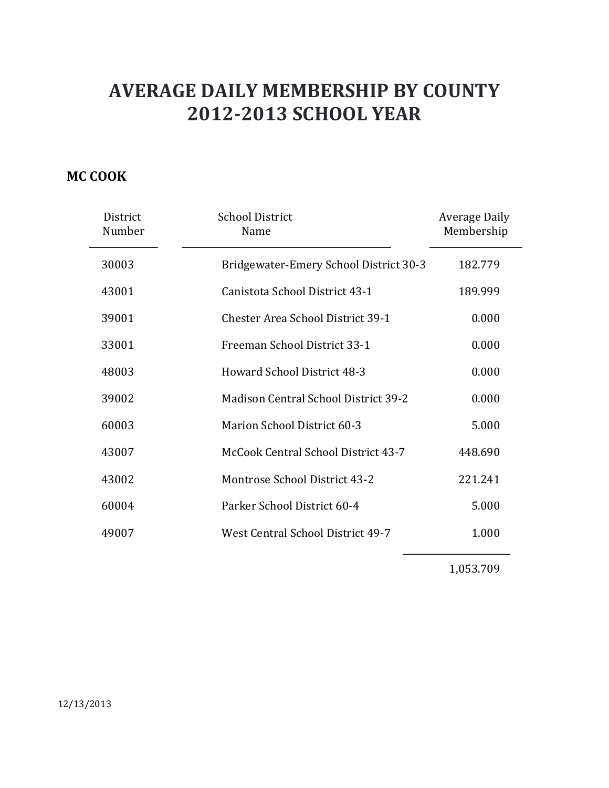### **MC COOK**

| District<br>Number | <b>School District</b><br>Name              | Average Daily<br>Membership |
|--------------------|---------------------------------------------|-----------------------------|
| 30003              | Bridgewater-Emery School District 30-3      | 182.779                     |
| 43001              | Canistota School District 43-1              | 189.999                     |
| 39001              | <b>Chester Area School District 39-1</b>    | 0.000                       |
| 33001              | Freeman School District 33-1                | 0.000                       |
| 48003              | <b>Howard School District 48-3</b>          | 0.000                       |
| 39002              | <b>Madison Central School District 39-2</b> | 0.000                       |
| 60003              | <b>Marion School District 60-3</b>          | 5.000                       |
| 43007              | McCook Central School District 43-7         | 448.690                     |
| 43002              | <b>Montrose School District 43-2</b>        | 221.241                     |
| 60004              | Parker School District 60-4                 | 5.000                       |
| 49007              | <b>West Central School District 49-7</b>    | 1.000                       |

1,053.709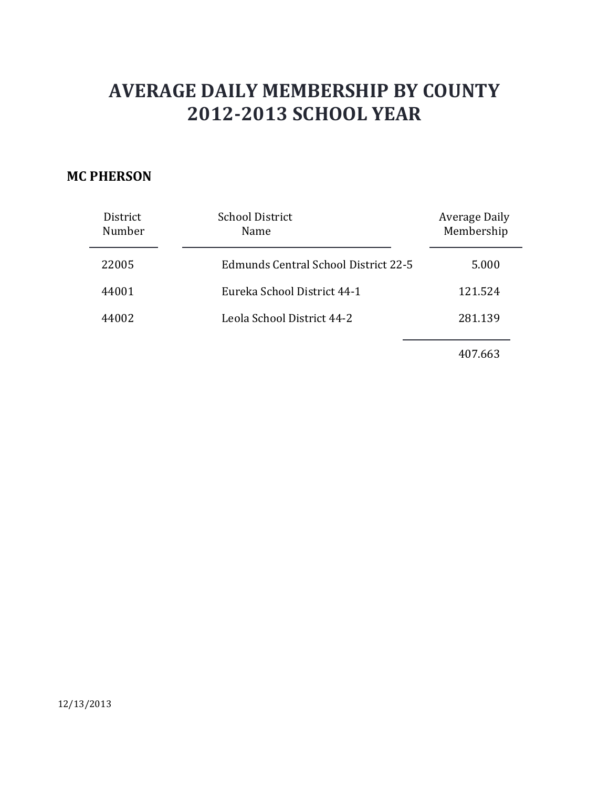#### **MC PHERSON**

| District<br>Number | <b>School District</b><br>Name       | Average Daily<br>Membership |
|--------------------|--------------------------------------|-----------------------------|
| 22005              | Edmunds Central School District 22-5 | 5.000                       |
| 44001              | Eureka School District 44-1          | 121.524                     |
| 44002              | Leola School District 44-2           | 281.139                     |
|                    |                                      | 407.663                     |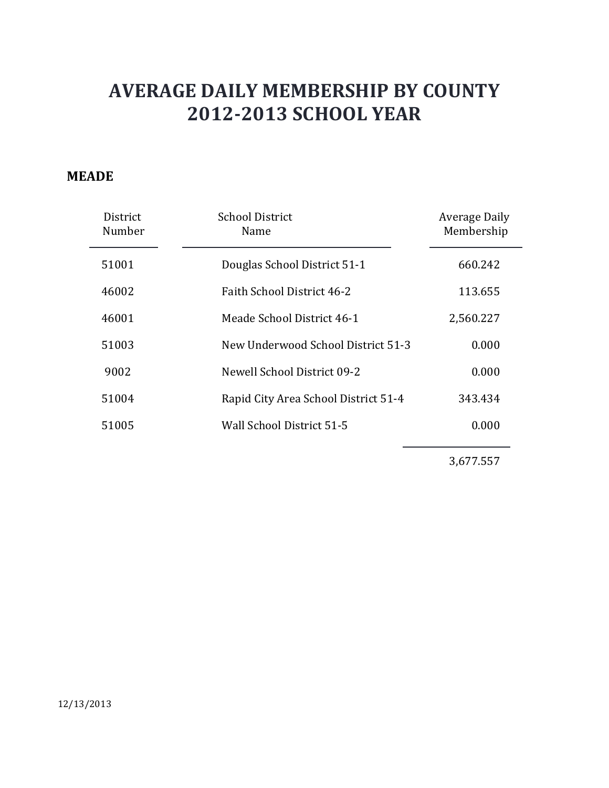#### **MEADE**

| District<br>Number | <b>School District</b><br>Name       | Average Daily<br>Membership |
|--------------------|--------------------------------------|-----------------------------|
| 51001              | Douglas School District 51-1         | 660.242                     |
| 46002              | Faith School District 46-2           | 113.655                     |
| 46001              | Meade School District 46-1           | 2,560.227                   |
| 51003              | New Underwood School District 51-3   | 0.000                       |
| 9002               | Newell School District 09-2          | 0.000                       |
| 51004              | Rapid City Area School District 51-4 | 343.434                     |
| 51005              | Wall School District 51-5            | 0.000                       |

3,677.557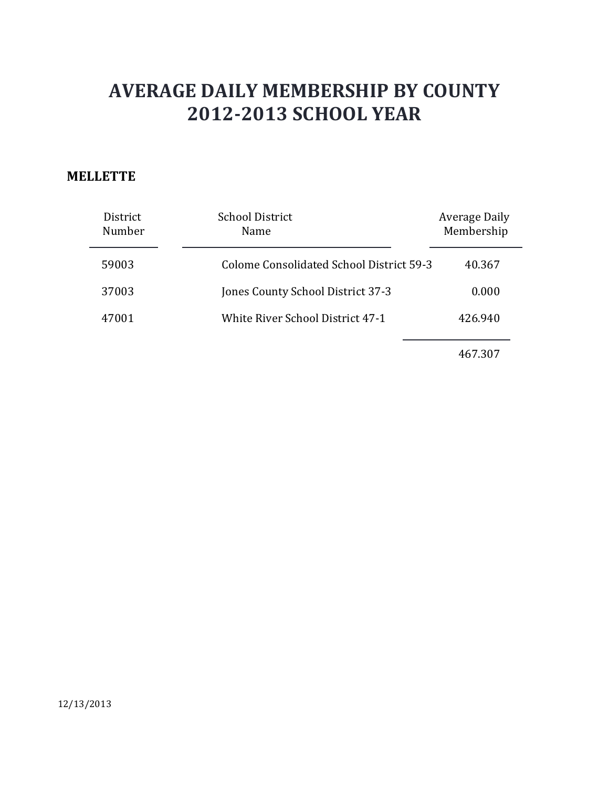#### **MELLETTE**

| <b>District</b><br>Number | <b>School District</b><br><b>Name</b>    | Average Daily<br>Membership |
|---------------------------|------------------------------------------|-----------------------------|
| 59003                     | Colome Consolidated School District 59-3 | 40.367                      |
| 37003                     | Jones County School District 37-3        | 0.000                       |
| 47001                     | White River School District 47-1         | 426.940                     |
|                           |                                          |                             |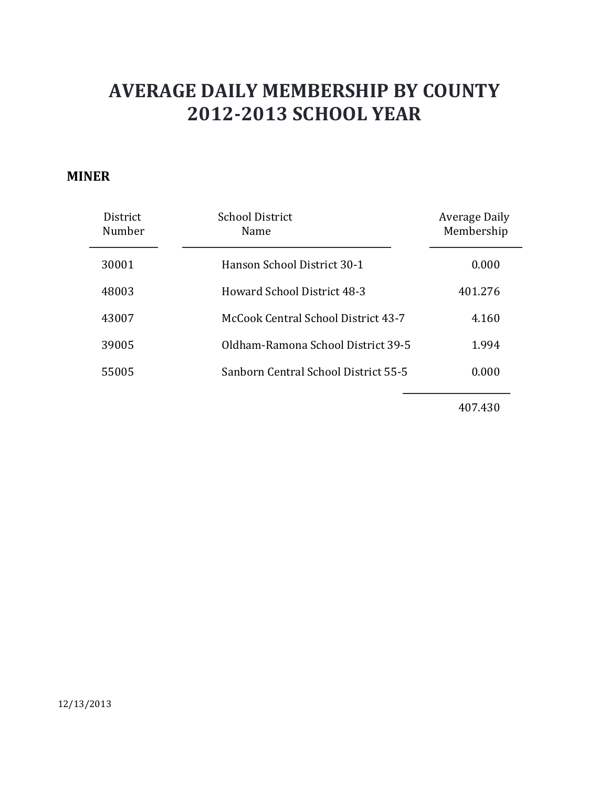#### **MINER**

| <b>District</b><br>Number | School District<br>Name              | Average Daily<br>Membership |
|---------------------------|--------------------------------------|-----------------------------|
| 30001                     | Hanson School District 30-1          | 0.000                       |
| 48003                     | <b>Howard School District 48-3</b>   | 401.276                     |
| 43007                     | McCook Central School District 43-7  | 4.160                       |
| 39005                     | Oldham-Ramona School District 39-5   | 1.994                       |
| 55005                     | Sanborn Central School District 55-5 | 0.000                       |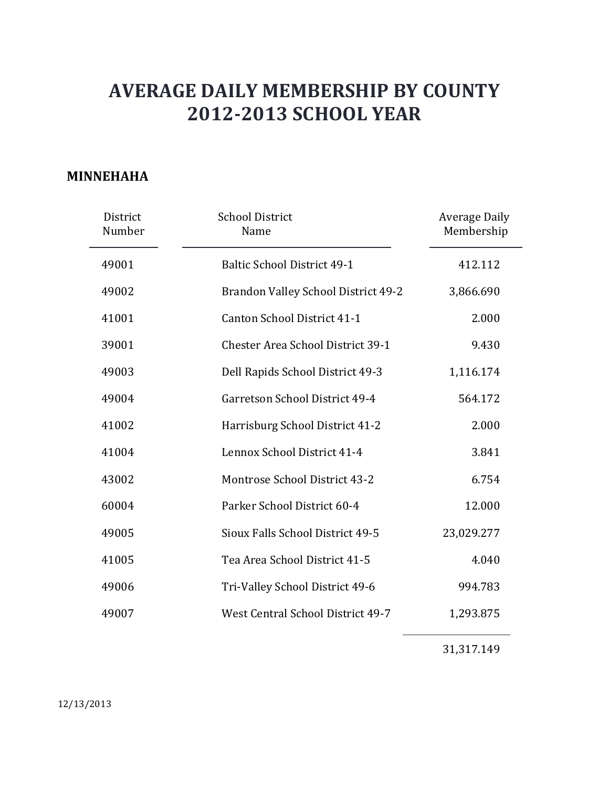### **MINNEHAHA**

| District<br>Number | <b>School District</b><br>Name           | <b>Average Daily</b><br>Membership |
|--------------------|------------------------------------------|------------------------------------|
| 49001              | <b>Baltic School District 49-1</b>       | 412.112                            |
| 49002              | Brandon Valley School District 49-2      | 3,866.690                          |
| 41001              | <b>Canton School District 41-1</b>       | 2.000                              |
| 39001              | <b>Chester Area School District 39-1</b> | 9.430                              |
| 49003              | Dell Rapids School District 49-3         | 1,116.174                          |
| 49004              | Garretson School District 49-4           | 564.172                            |
| 41002              | Harrisburg School District 41-2          | 2.000                              |
| 41004              | Lennox School District 41-4              | 3.841                              |
| 43002              | Montrose School District 43-2            | 6.754                              |
| 60004              | Parker School District 60-4              | 12.000                             |
| 49005              | Sioux Falls School District 49-5         | 23,029.277                         |
| 41005              | Tea Area School District 41-5            | 4.040                              |
| 49006              | Tri-Valley School District 49-6          | 994.783                            |
| 49007              | West Central School District 49-7        | 1,293.875                          |

31,317.149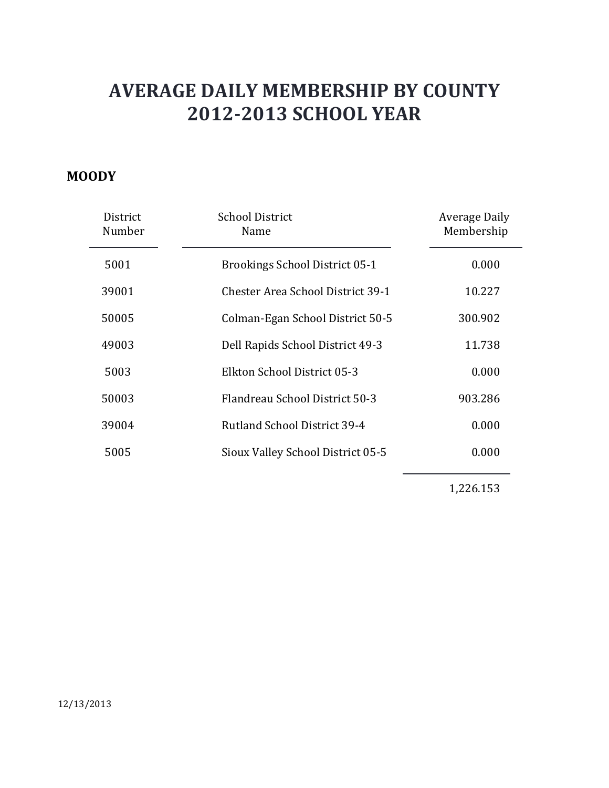### **MOODY**

| District<br>Number | <b>School District</b><br>Name           | Average Daily<br>Membership |
|--------------------|------------------------------------------|-----------------------------|
| 5001               | <b>Brookings School District 05-1</b>    | 0.000                       |
| 39001              | <b>Chester Area School District 39-1</b> | 10.227                      |
| 50005              | Colman-Egan School District 50-5         | 300.902                     |
| 49003              | Dell Rapids School District 49-3         | 11.738                      |
| 5003               | Elkton School District 05-3              | 0.000                       |
| 50003              | Flandreau School District 50-3           | 903.286                     |
| 39004              | <b>Rutland School District 39-4</b>      | 0.000                       |
| 5005               | Sioux Valley School District 05-5        | 0.000                       |

1,226.153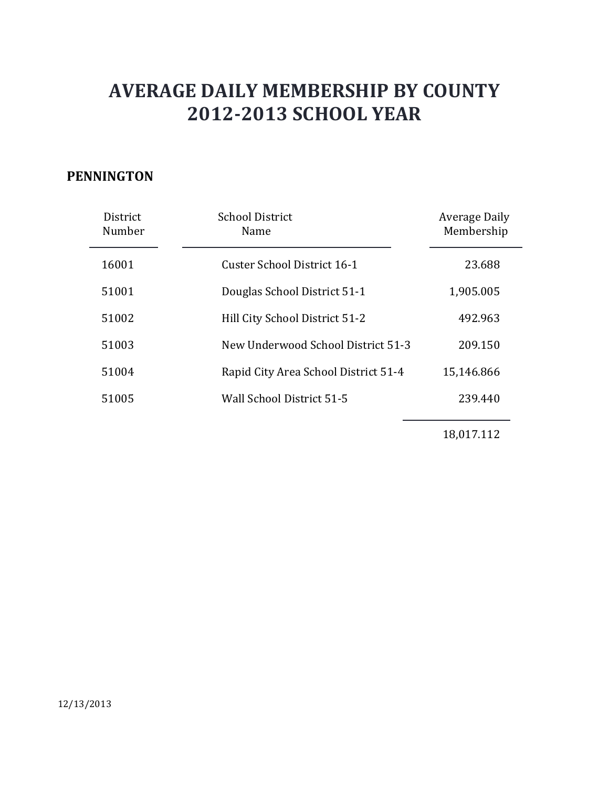### **PENNINGTON**

| District<br>Number | <b>School District</b><br>Name       | Average Daily<br>Membership |
|--------------------|--------------------------------------|-----------------------------|
| 16001              | Custer School District 16-1          | 23.688                      |
| 51001              | Douglas School District 51-1         | 1,905.005                   |
| 51002              | Hill City School District 51-2       | 492.963                     |
| 51003              | New Underwood School District 51-3   | 209.150                     |
| 51004              | Rapid City Area School District 51-4 | 15,146.866                  |
| 51005              | Wall School District 51-5            | 239.440                     |
|                    |                                      |                             |

18,017.112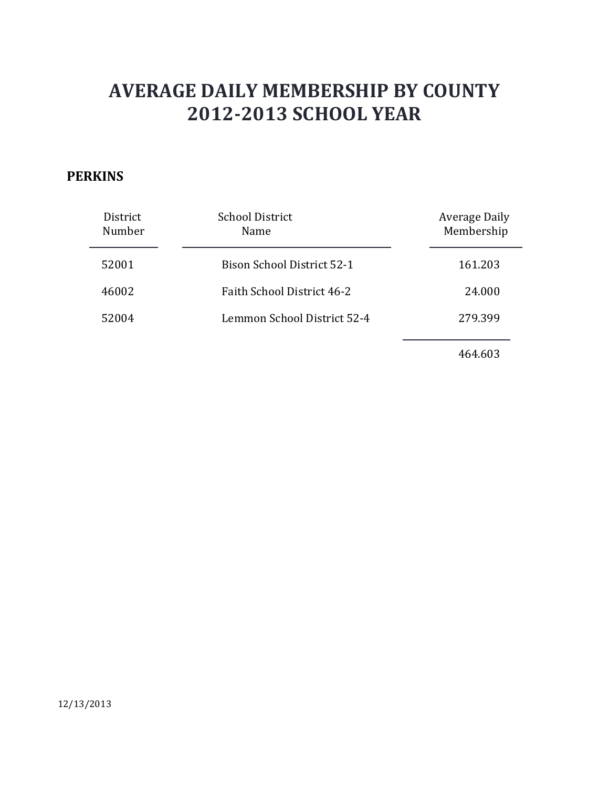### **PERKINS**

| District<br>Number | <b>School District</b><br>Name    | Average Daily<br>Membership |
|--------------------|-----------------------------------|-----------------------------|
| 52001              | <b>Bison School District 52-1</b> | 161.203                     |
| 46002              | Faith School District 46-2        | 24.000                      |
| 52004              | Lemmon School District 52-4       | 279.399                     |
|                    |                                   |                             |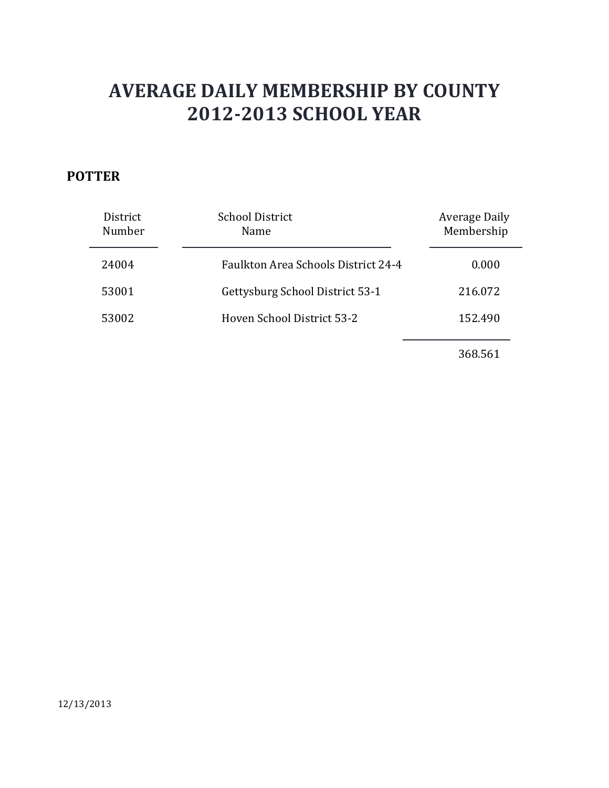### **POTTER**

| District<br>Number | <b>School District</b><br>Name      | Average Daily<br>Membership |
|--------------------|-------------------------------------|-----------------------------|
| 24004              | Faulkton Area Schools District 24-4 | 0.000                       |
| 53001              | Gettysburg School District 53-1     | 216.072                     |
| 53002              | Hoven School District 53-2          | 152.490                     |
|                    |                                     |                             |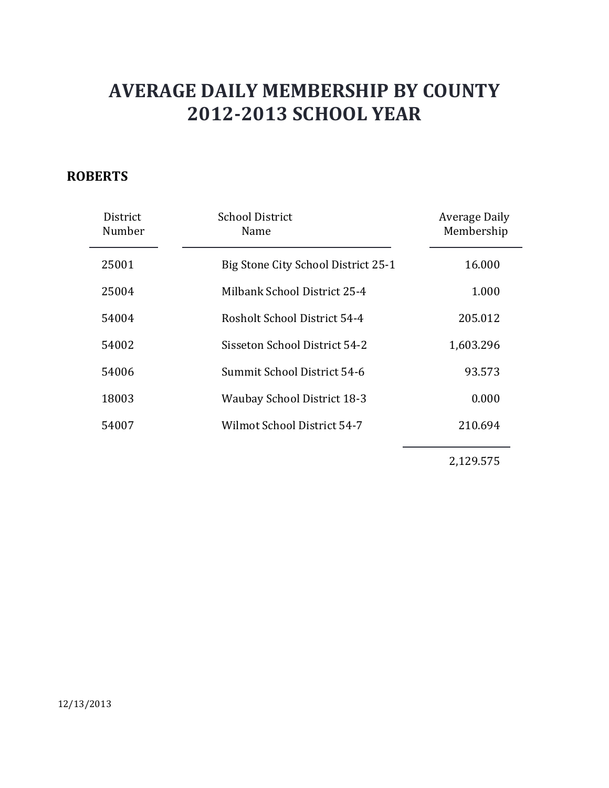### **ROBERTS**

| District<br>Number | School District<br>Name             | Average Daily<br>Membership |
|--------------------|-------------------------------------|-----------------------------|
| 25001              | Big Stone City School District 25-1 | 16.000                      |
| 25004              | Milbank School District 25-4        | 1.000                       |
| 54004              | Rosholt School District 54-4        | 205.012                     |
| 54002              | Sisseton School District 54-2       | 1,603.296                   |
| 54006              | Summit School District 54-6         | 93.573                      |
| 18003              | <b>Waubay School District 18-3</b>  | 0.000                       |
| 54007              | Wilmot School District 54-7         | 210.694                     |
|                    |                                     |                             |

2,129.575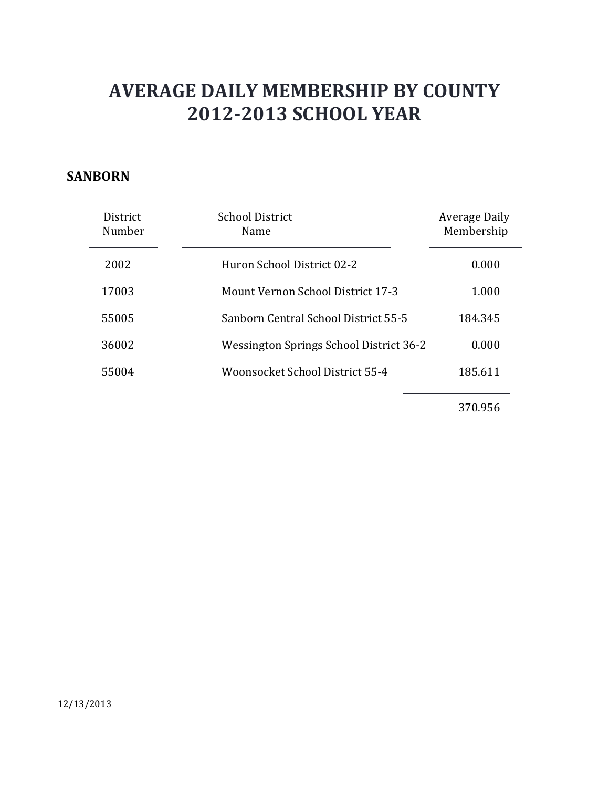#### **SANBORN**

| District<br>Number | <b>School District</b><br>Name                 | Average Daily<br>Membership |
|--------------------|------------------------------------------------|-----------------------------|
| 2002               | Huron School District 02-2                     | 0.000                       |
| 17003              | <b>Mount Vernon School District 17-3</b>       | 1.000                       |
| 55005              | Sanborn Central School District 55-5           | 184.345                     |
| 36002              | <b>Wessington Springs School District 36-2</b> | 0.000                       |
| 55004              | Woonsocket School District 55-4                | 185.611                     |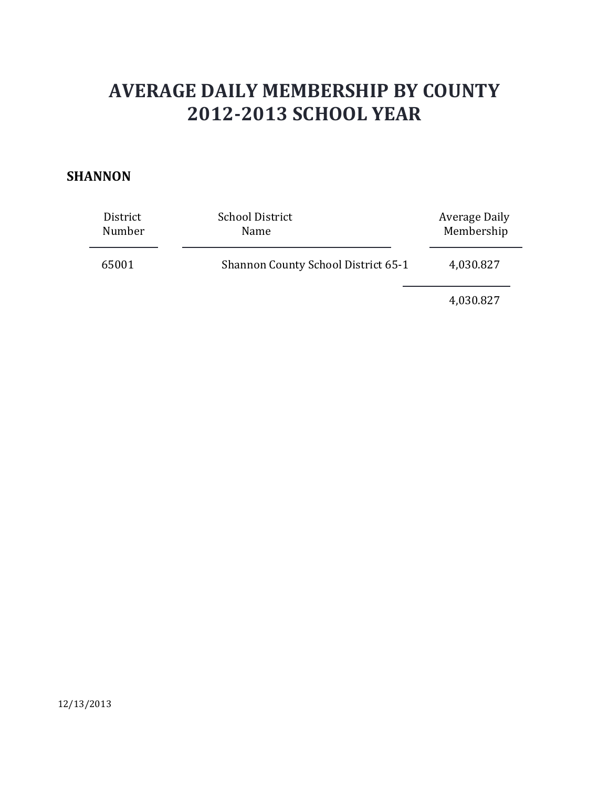#### **SHANNON**

| District | <b>School District</b>              | Average Daily |
|----------|-------------------------------------|---------------|
| Number   | Name                                | Membership    |
| 65001    | Shannon County School District 65-1 | 4,030.827     |

4,030.827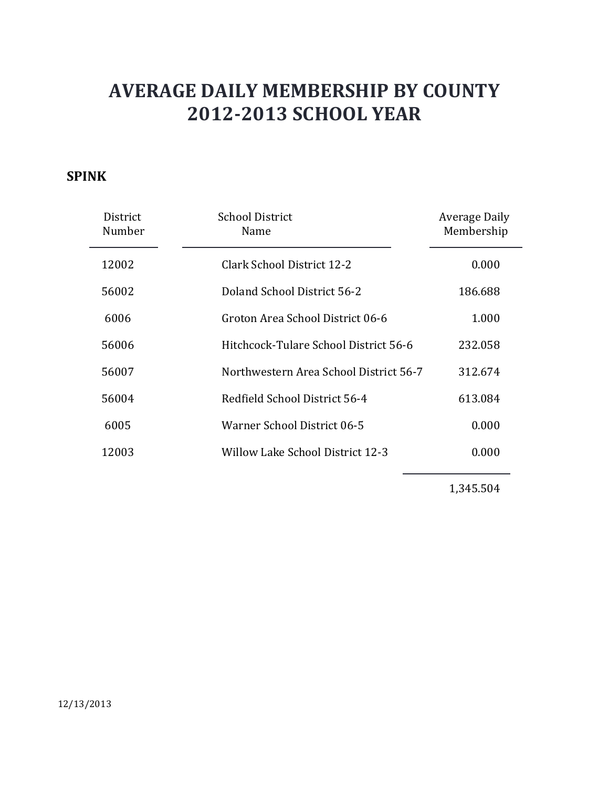### **SPINK**

| District<br>Number | School District<br>Name                | Average Daily<br>Membership |
|--------------------|----------------------------------------|-----------------------------|
| 12002              | Clark School District 12-2             | 0.000                       |
| 56002              | Doland School District 56-2            | 186.688                     |
| 6006               | Groton Area School District 06-6       | 1.000                       |
| 56006              | Hitchcock-Tulare School District 56-6  | 232.058                     |
| 56007              | Northwestern Area School District 56-7 | 312.674                     |
| 56004              | Redfield School District 56-4          | 613.084                     |
| 6005               | Warner School District 06-5            | 0.000                       |
| 12003              | Willow Lake School District 12-3       | 0.000                       |

1,345.504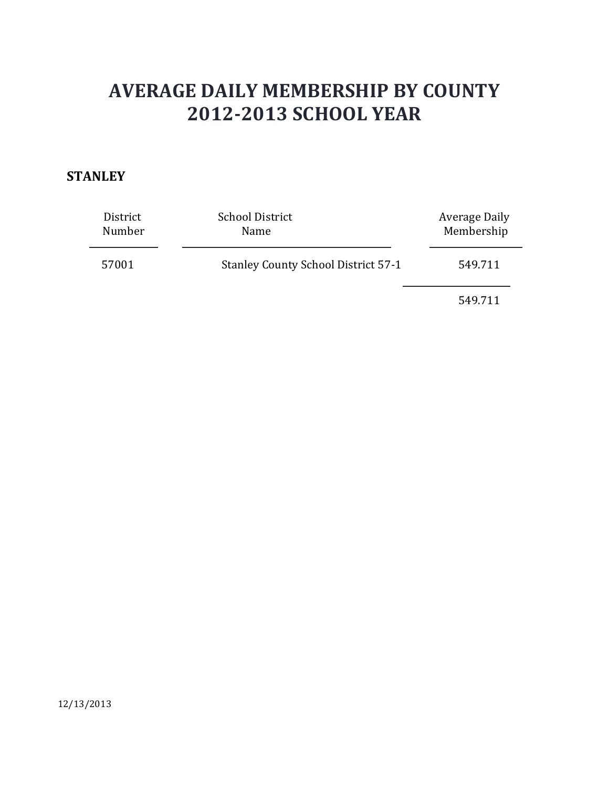### **STANLEY**

| District<br>Number | <b>School District</b><br>Name             | Average Daily<br>Membership |
|--------------------|--------------------------------------------|-----------------------------|
| 57001              | <b>Stanley County School District 57-1</b> | 549.711                     |
|                    |                                            | 549.711                     |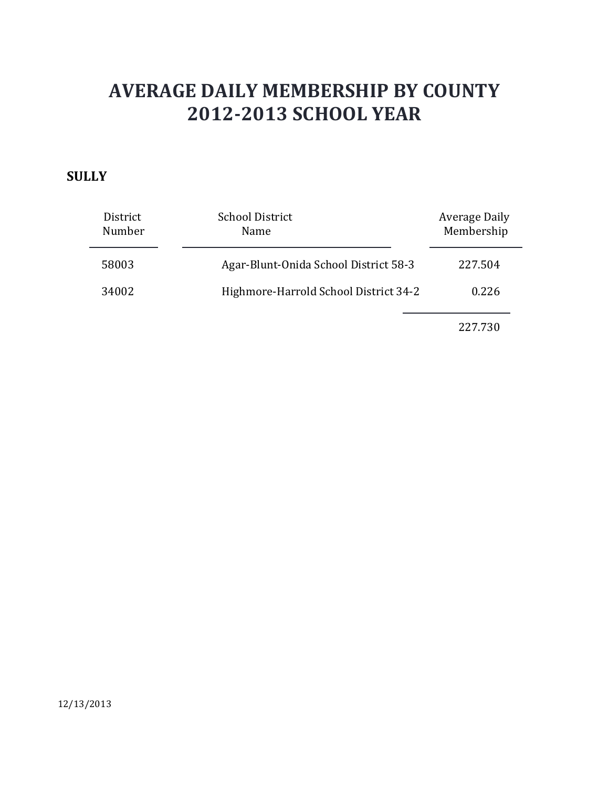### **SULLY**

| District<br>Number | <b>School District</b><br>Name        | Average Daily<br>Membership |
|--------------------|---------------------------------------|-----------------------------|
| 58003              | Agar-Blunt-Onida School District 58-3 | 227.504                     |
| 34002              | Highmore-Harrold School District 34-2 | 0.226                       |
|                    |                                       |                             |

227.730

12/13/2013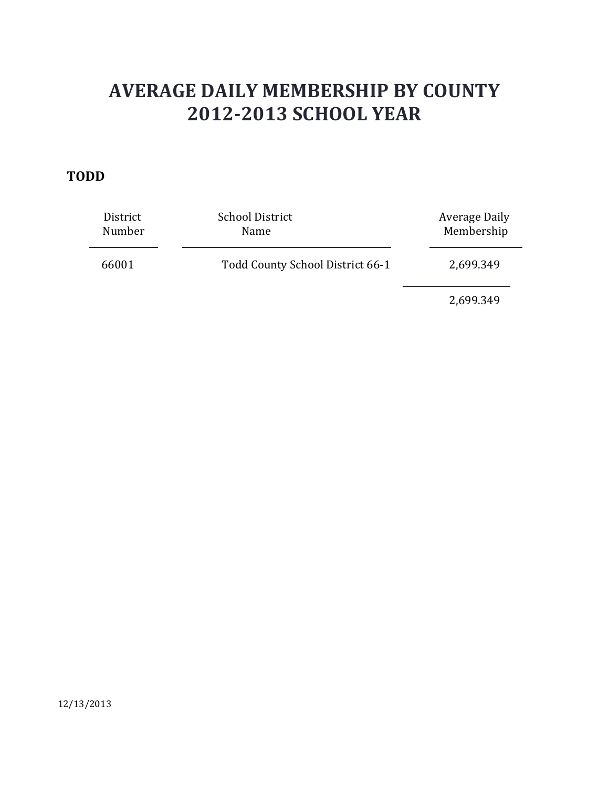#### **TODD**

| District<br>Number | <b>School District</b><br>Name   | Average Daily<br>Membership |
|--------------------|----------------------------------|-----------------------------|
| 66001              | Todd County School District 66-1 | 2,699.349                   |
|                    |                                  | 2,699.349                   |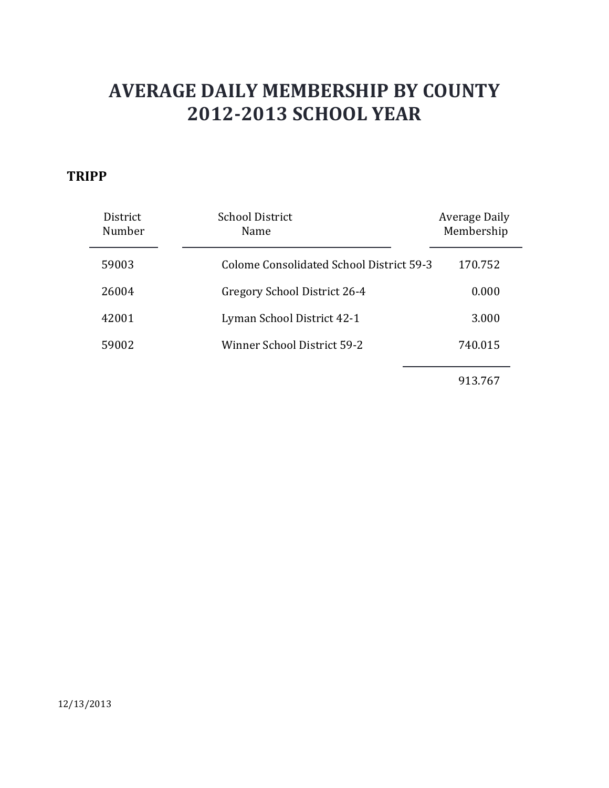#### **TRIPP**

| <b>District</b><br>Number | <b>School District</b><br>Name           | Average Daily<br>Membership |
|---------------------------|------------------------------------------|-----------------------------|
| 59003                     | Colome Consolidated School District 59-3 | 170.752                     |
| 26004                     | Gregory School District 26-4             | 0.000                       |
| 42001                     | Lyman School District 42-1               | 3.000                       |
| 59002                     | Winner School District 59-2              | 740.015                     |
|                           |                                          | 913.767                     |

12/13/2013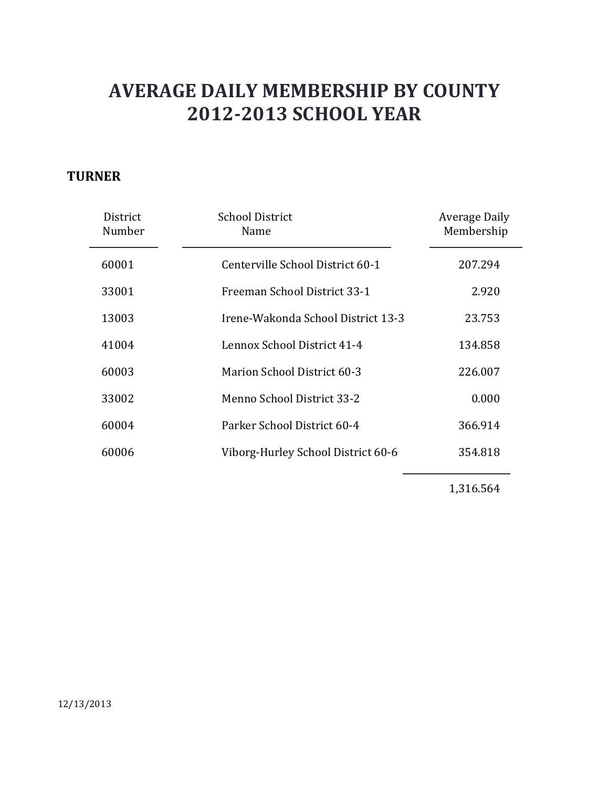### **TURNER**

| District<br>Number | <b>School District</b><br>Name     | Average Daily<br>Membership |
|--------------------|------------------------------------|-----------------------------|
| 60001              | Centerville School District 60-1   | 207.294                     |
| 33001              | Freeman School District 33-1       | 2.920                       |
| 13003              | Irene-Wakonda School District 13-3 | 23.753                      |
| 41004              | Lennox School District 41-4        | 134.858                     |
| 60003              | Marion School District 60-3        | 226.007                     |
| 33002              | Menno School District 33-2         | 0.000                       |
| 60004              | Parker School District 60-4        | 366.914                     |
| 60006              | Viborg-Hurley School District 60-6 | 354.818                     |

1,316.564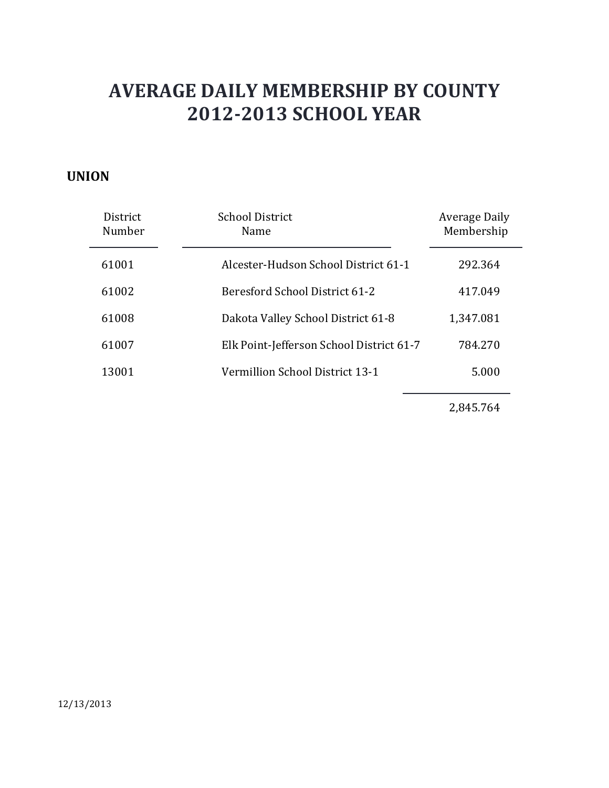#### **UNION**

| <b>District</b><br>Number | <b>School District</b><br>Name           | Average Daily<br>Membership |
|---------------------------|------------------------------------------|-----------------------------|
| 61001                     | Alcester-Hudson School District 61-1     | 292.364                     |
| 61002                     | Beresford School District 61-2           | 417.049                     |
| 61008                     | Dakota Valley School District 61-8       | 1,347.081                   |
| 61007                     | Elk Point-Jefferson School District 61-7 | 784.270                     |
| 13001                     | Vermillion School District 13-1          | 5.000                       |

2,845.764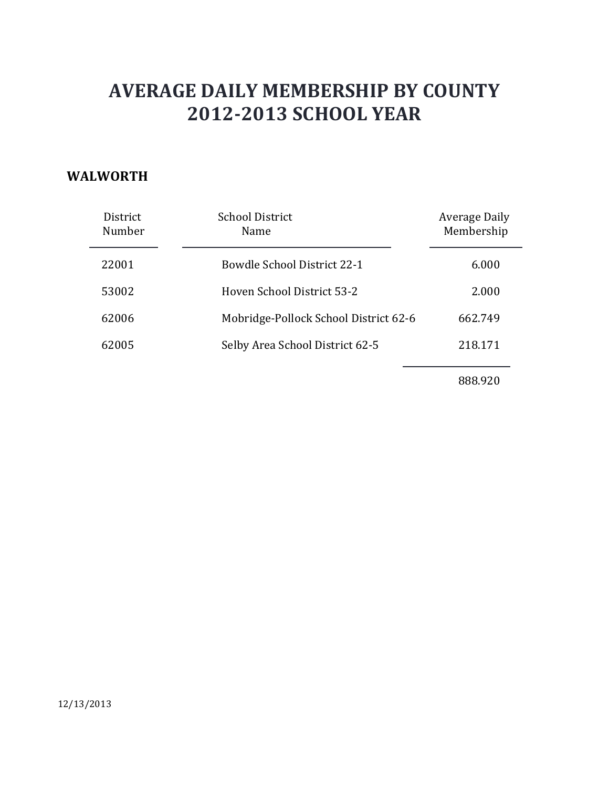#### **WALWORTH**

| District<br>Number | <b>School District</b><br>Name        | Average Daily<br>Membership |
|--------------------|---------------------------------------|-----------------------------|
| 22001              | <b>Bowdle School District 22-1</b>    | 6.000                       |
| 53002              | <b>Hoven School District 53-2</b>     | 2.000                       |
| 62006              | Mobridge-Pollock School District 62-6 | 662.749                     |
| 62005              | Selby Area School District 62-5       | 218.171                     |
|                    |                                       |                             |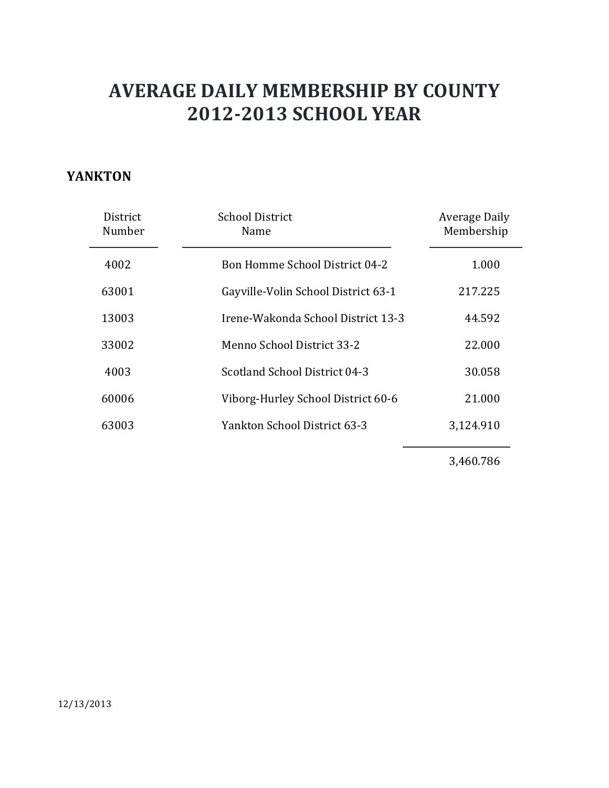#### **YANKTON**

| District<br>Number | <b>School District</b><br>Name        | Average Daily<br>Membership |
|--------------------|---------------------------------------|-----------------------------|
| 4002               | <b>Bon Homme School District 04-2</b> | 1.000                       |
| 63001              | Gayville-Volin School District 63-1   | 217.225                     |
| 13003              | Irene-Wakonda School District 13-3    | 44.592                      |
| 33002              | Menno School District 33-2            | 22.000                      |
| 4003               | Scotland School District 04-3         | 30.058                      |
| 60006              | Viborg-Hurley School District 60-6    | 21.000                      |
| 63003              | Yankton School District 63-3          | 3,124.910                   |

3,460.786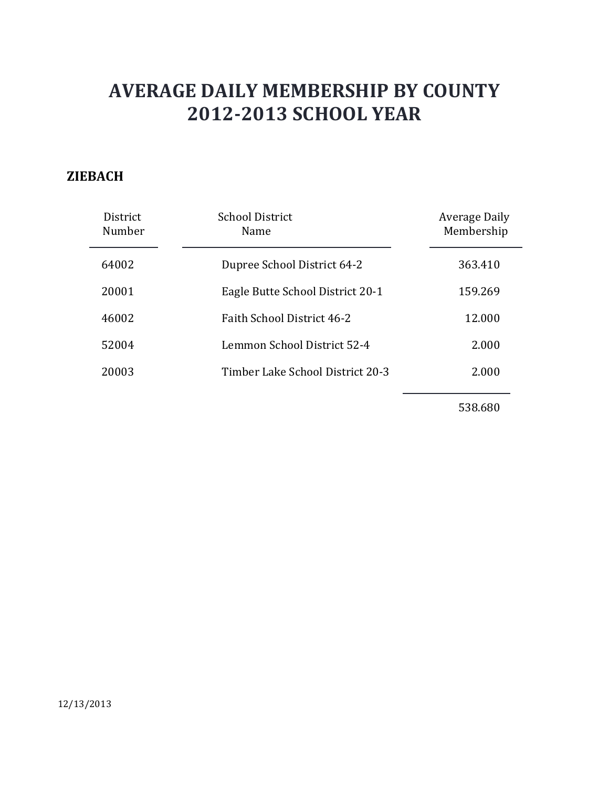### **ZIEBACH**

| District<br>Number | <b>School District</b><br>Name    | Average Daily<br>Membership |
|--------------------|-----------------------------------|-----------------------------|
| 64002              | Dupree School District 64-2       | 363.410                     |
| 20001              | Eagle Butte School District 20-1  | 159.269                     |
| 46002              | <b>Faith School District 46-2</b> | 12.000                      |
| 52004              | Lemmon School District 52-4       | 2.000                       |
| 20003              | Timber Lake School District 20-3  | 2.000                       |